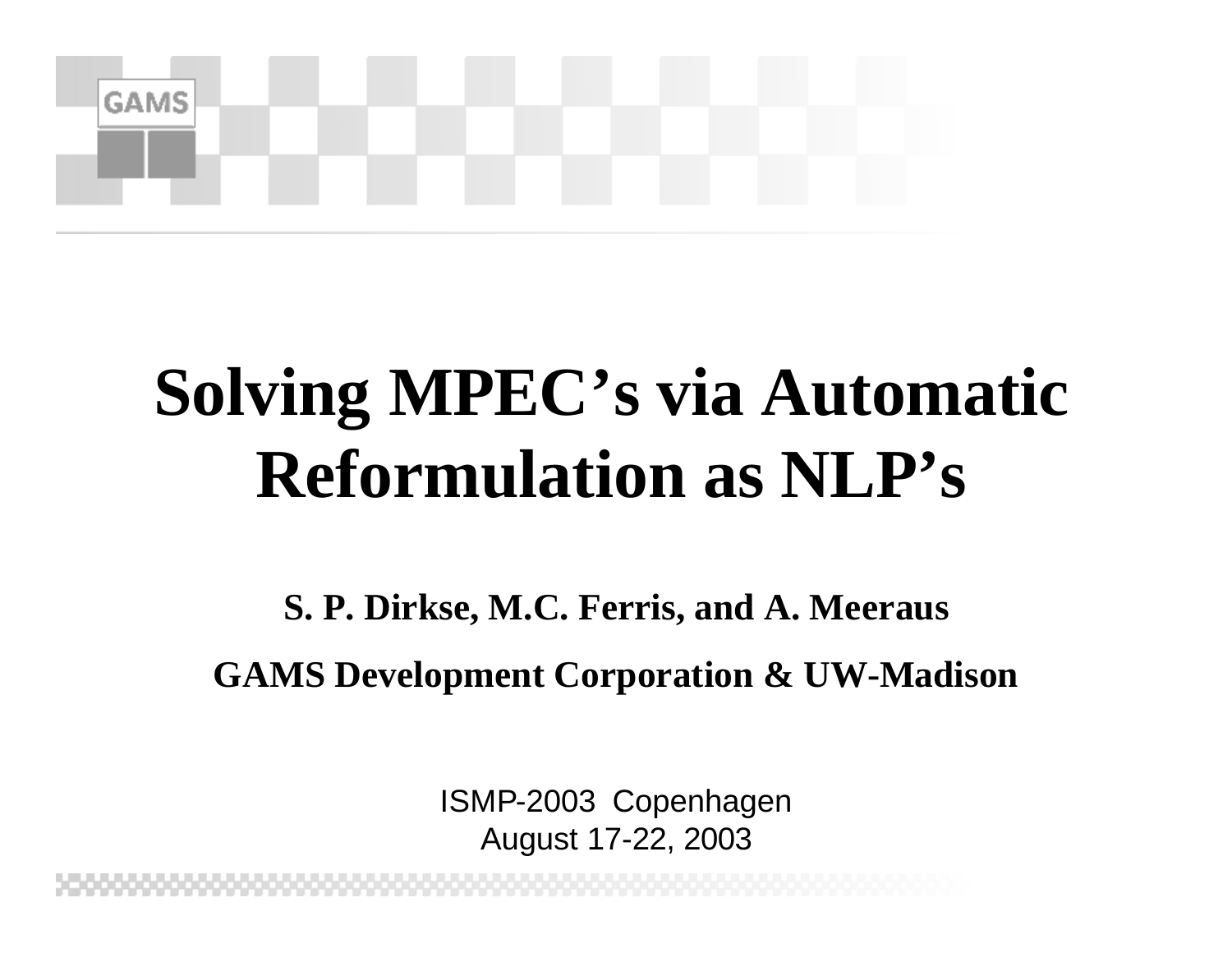

## **Solving MPEC's via Automatic Reformulation as NLP's**

**S. P. Dirkse, M.C. Ferris, and A. Meeraus GAMS Development Corporation & UW-Madison**

> ISMP-2003 Copenhagen August 17-22, 2003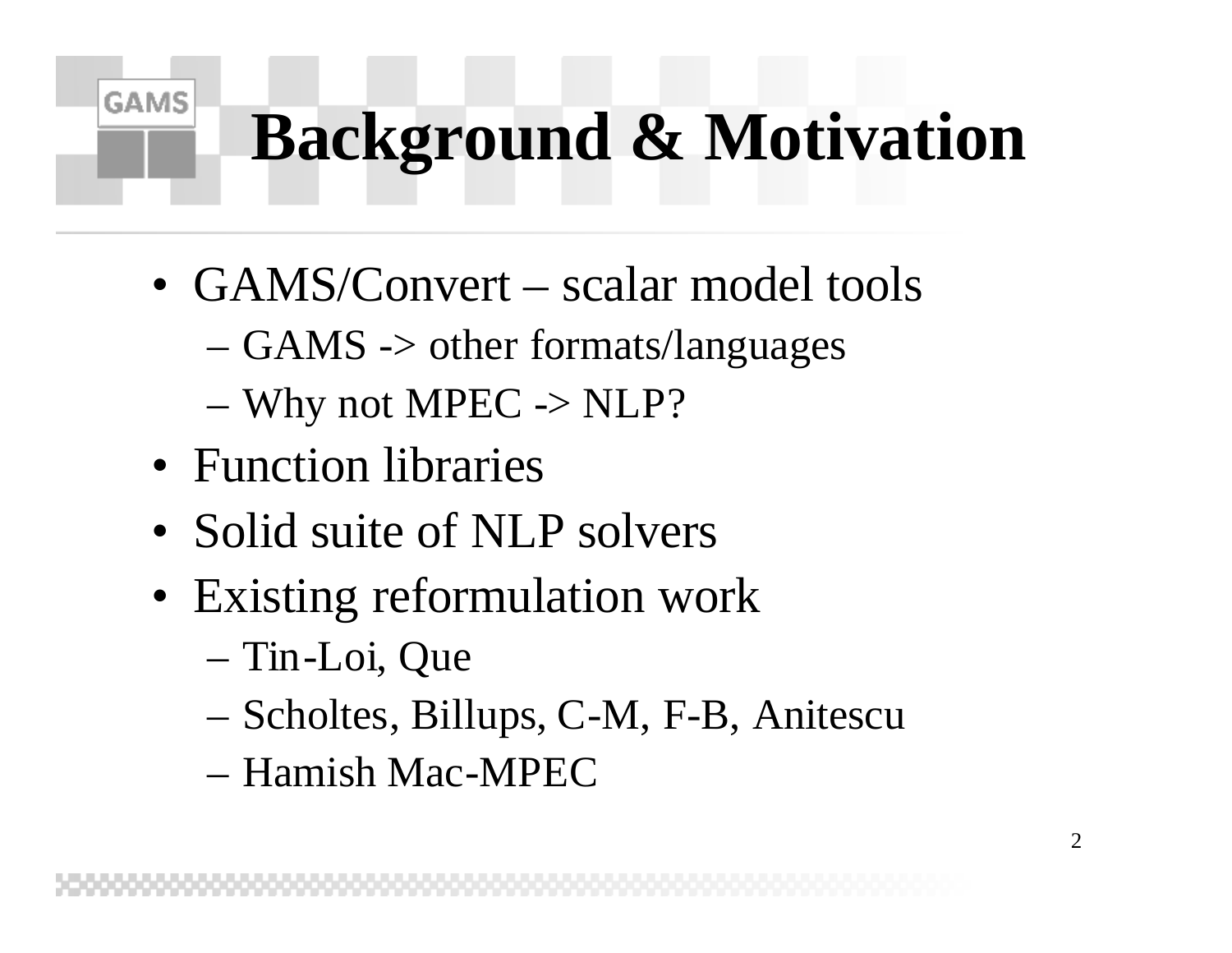# **Background & Motivation**

- GAMS/Convert scalar model tools
	- GAMS -> other formats/languages
	- $-$  Why not MPEC  $\rightarrow$  NLP?
- Function libraries

- Solid suite of NLP solvers
- Existing reformulation work
	- Tin-Loi, Que
	- Scholtes, Billups, C-M, F-B, Anitescu
	- Hamish Mac-MPEC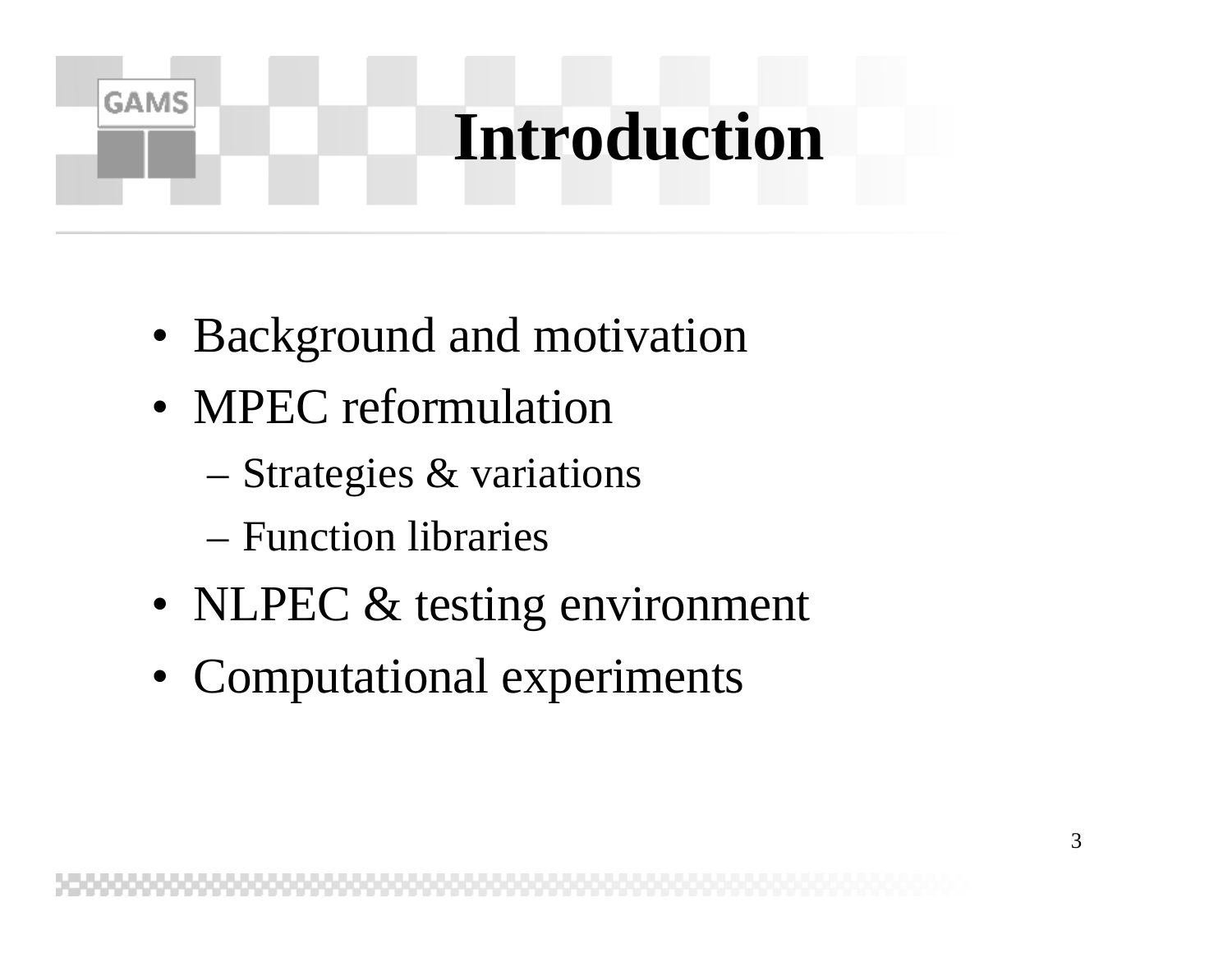### **Introduction**

- Background and motivation
- MPEC reformulation

- Strategies & variations
- Function libraries
- NLPEC & testing environment
- Computational experiments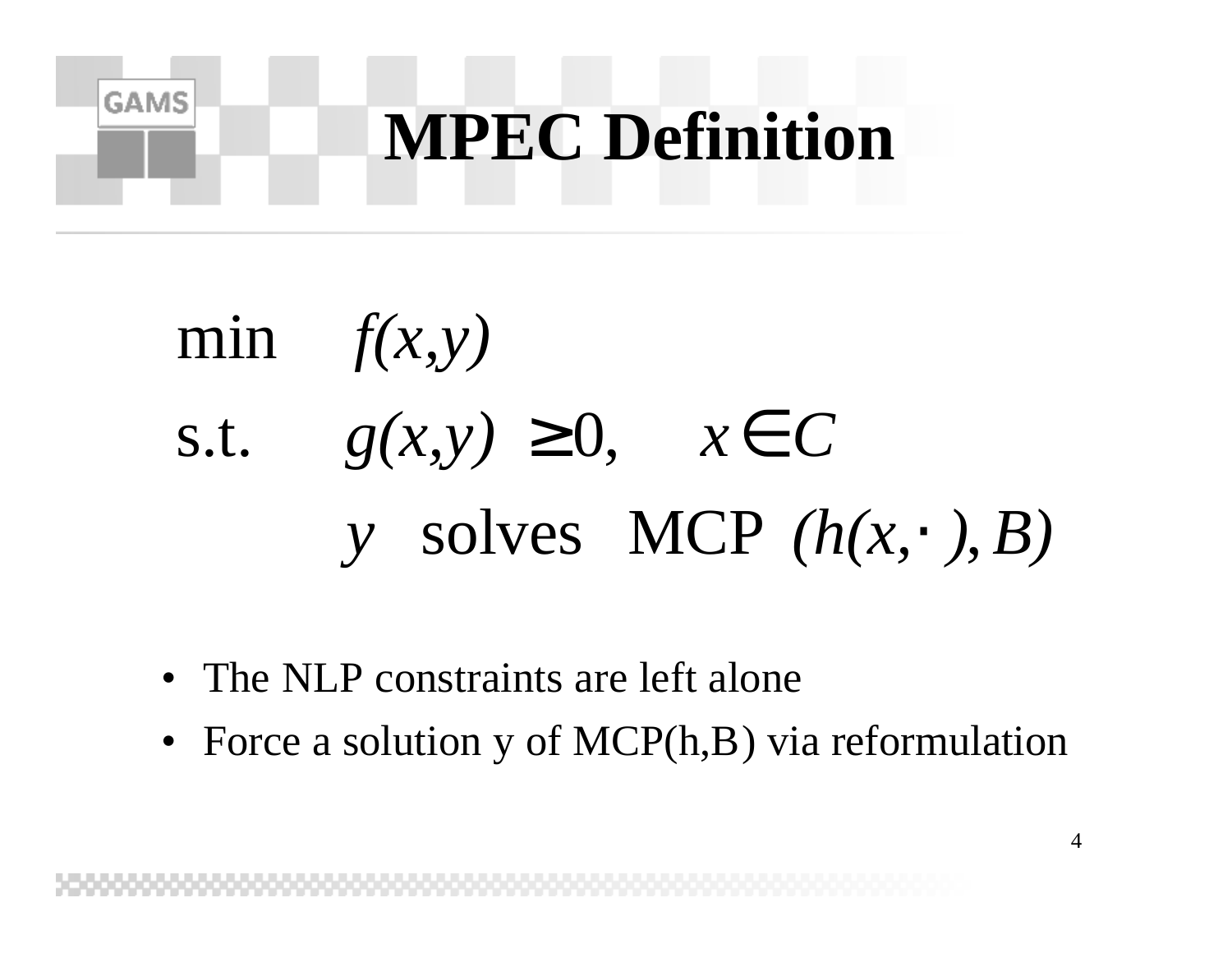

# *y* solves MCP  $(h(x, \cdot), B)$ s.t.  $g(x, y) \ge 0$ ,  $x \in C$ *f(x,y)* min

- The NLP constraints are left alone
- Force a solution y of MCP(h,B) via reformulation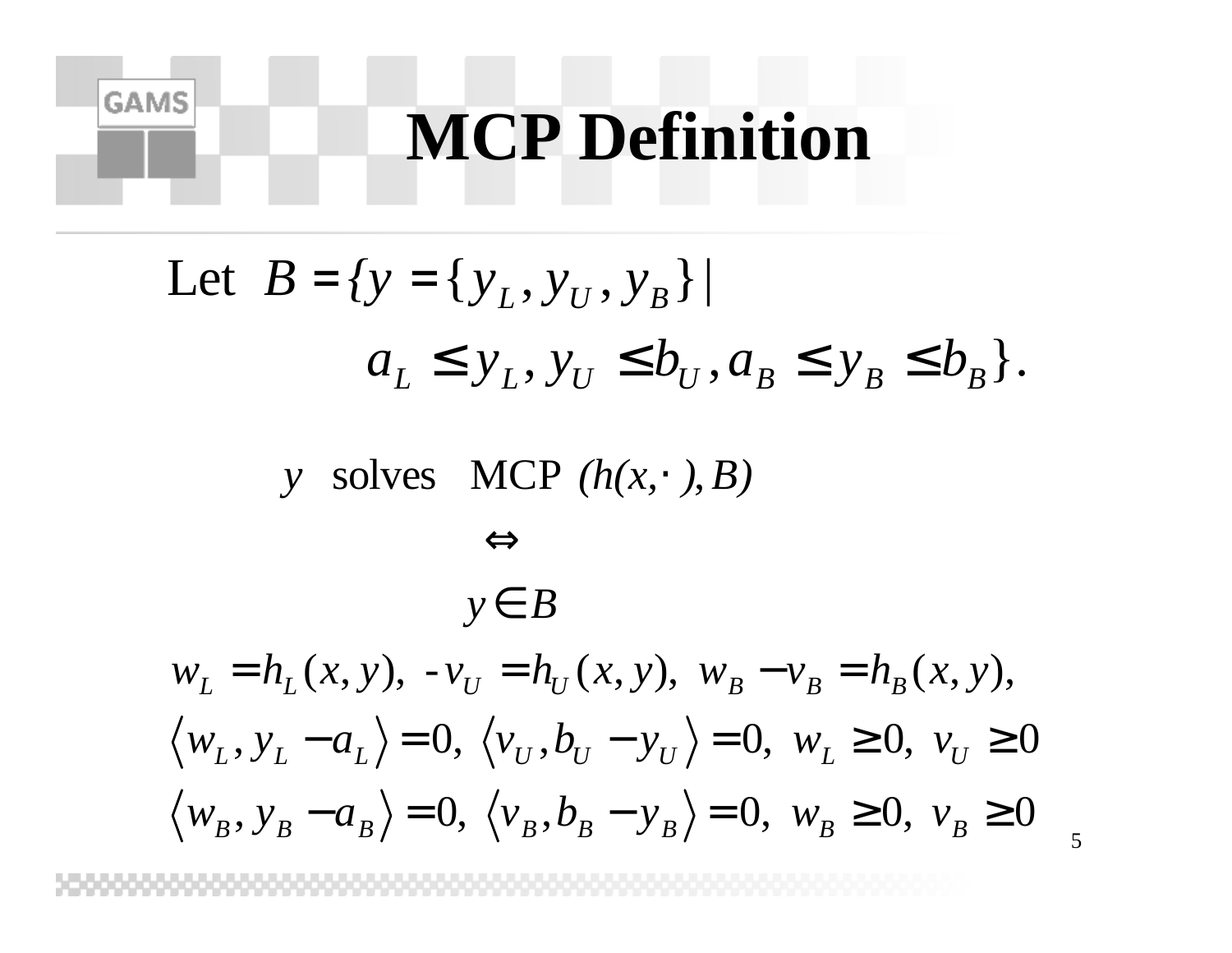### **MCP Definition**

Let 
$$
B = \{y = \{y_L, y_U, y_B\} \mid
$$
  
\n $a_L \le y_L, y_U \le b_U, a_B \le y_B \le b_B\}.$ 

*y* solves MCP  $(h(x, \cdot), B)$ 

**GAMS** 

$$
\Leftrightarrow
$$
  
\n
$$
y \in B
$$
  
\n
$$
w_L = h_L(x, y), -v_U = h_U(x, y), w_B - v_B = h_B(x, y),
$$
  
\n
$$
\langle w_L, y_L - a_L \rangle = 0, \langle v_U, b_U - y_U \rangle = 0, w_L \ge 0, v_U \ge 0
$$
  
\n
$$
\langle w_B, y_B - a_B \rangle = 0, \langle v_B, b_B - y_B \rangle = 0, w_B \ge 0, v_B \ge 0
$$

5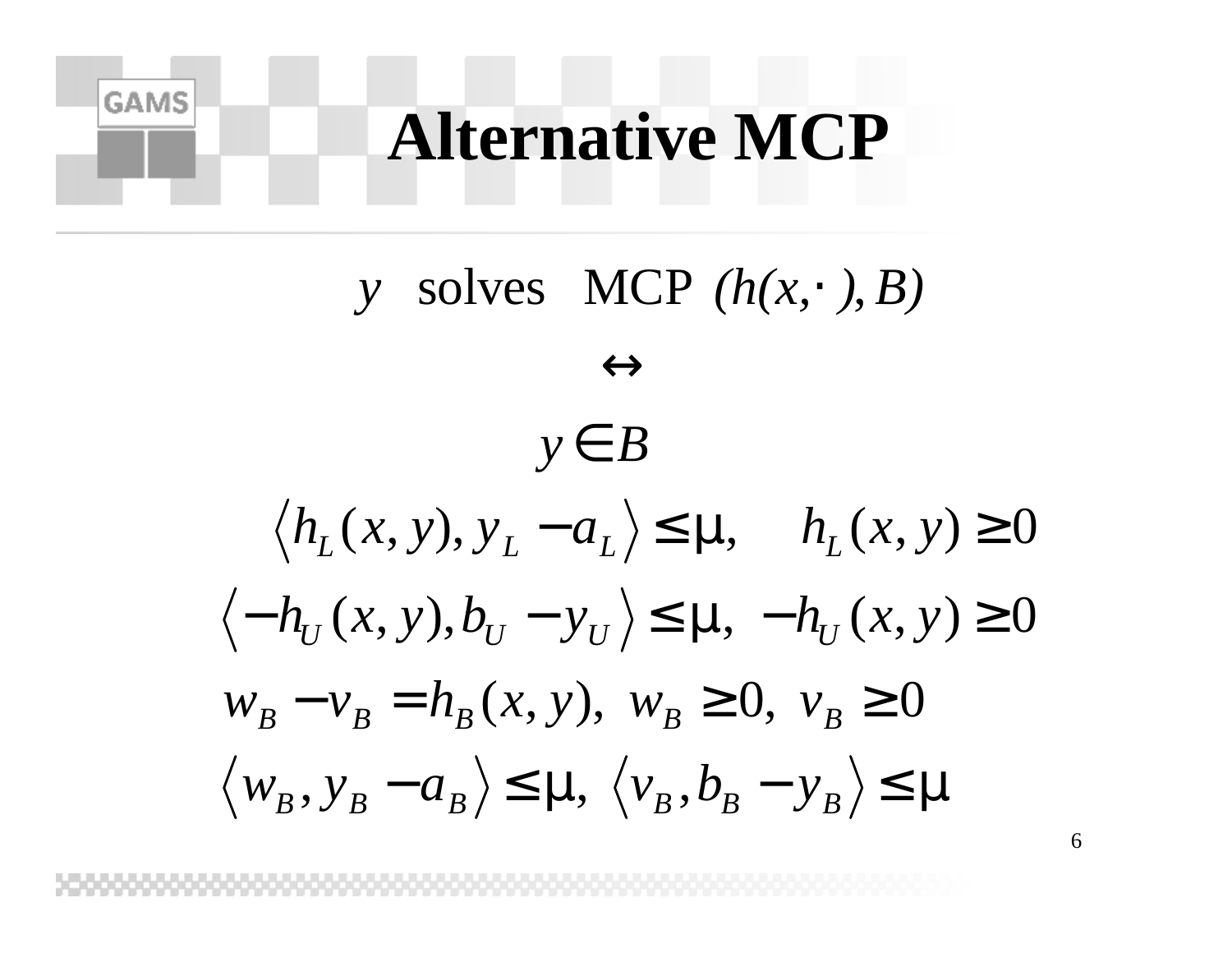### **Alternative MCP**

**GAMS** 

 $\langle W_B, Y_B - a_B \rangle \leq m, \quad \langle V_B, b_B - y_B \rangle \leq m$  $-h_U(x, y), b_U - y_U \ge \mathbf{m}, -h_U(x, y) \ge 0$  $\langle h_L(x, y), y_L - a_L \rangle \leq m, \quad h_L(x, y) \geq 0$  $W_B - V_B = h_B(x, y)$ ,  $W_B ≥ 0$ ,  $V_B ≥ 0$ ∈ *y B*  $\leftrightarrow$ *y* solves MCP  $(h(x, \cdot), B)$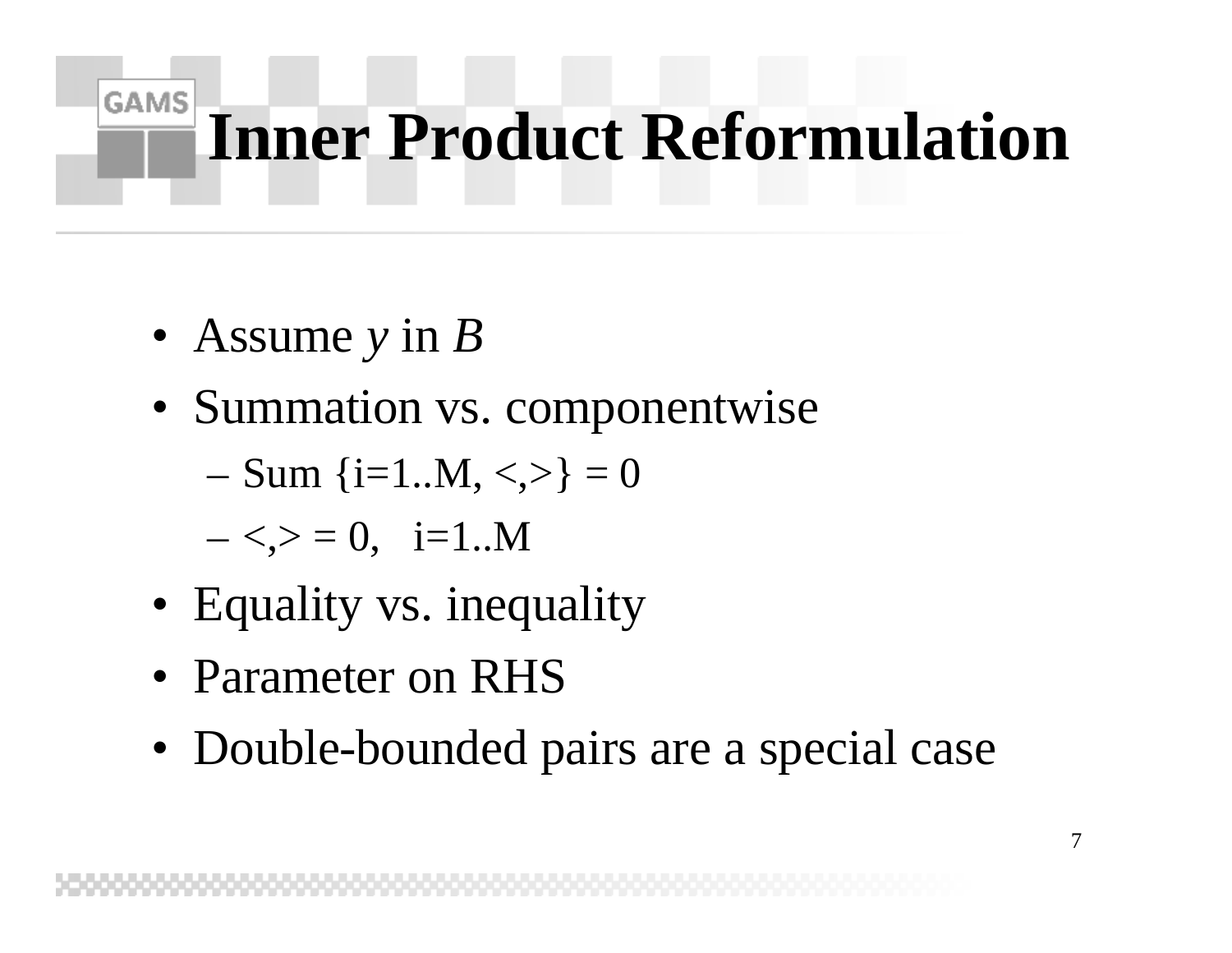### **GAMS Inner Product Reformulation**

- Assume *y* in *B*
- Summation vs. componentwise

$$
- Sum {i=1..M, <,>} = 0
$$

 $-\leq,>= 0, i=1..M$ 

- Equality vs. inequality
- Parameter on RHS
- Double-bounded pairs are a special case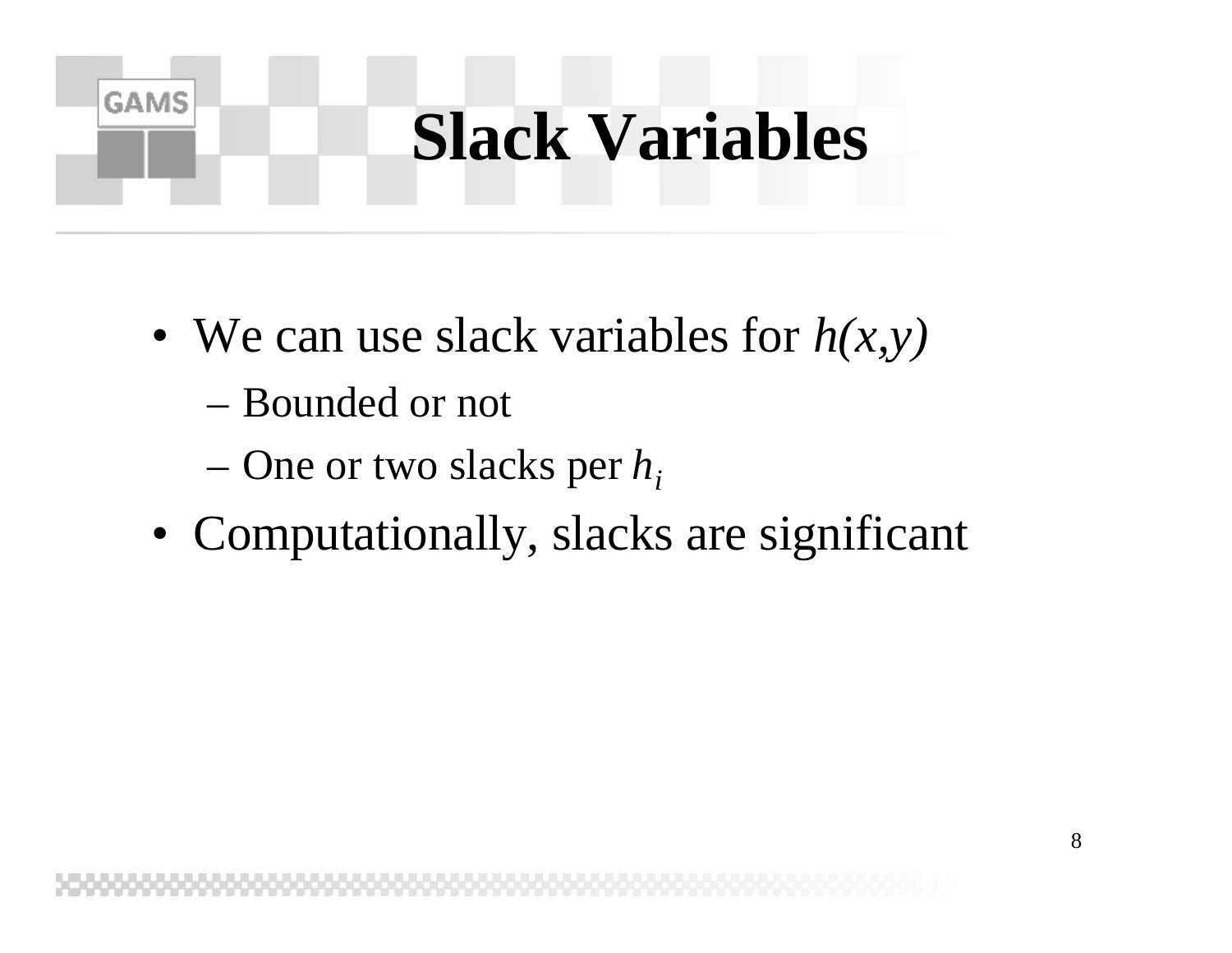### **Slack Variables**

- We can use slack variables for *h(x,y)*
	- Bounded or not

- One or two slacks per *h<sup>i</sup>*
- Computationally, slacks are significant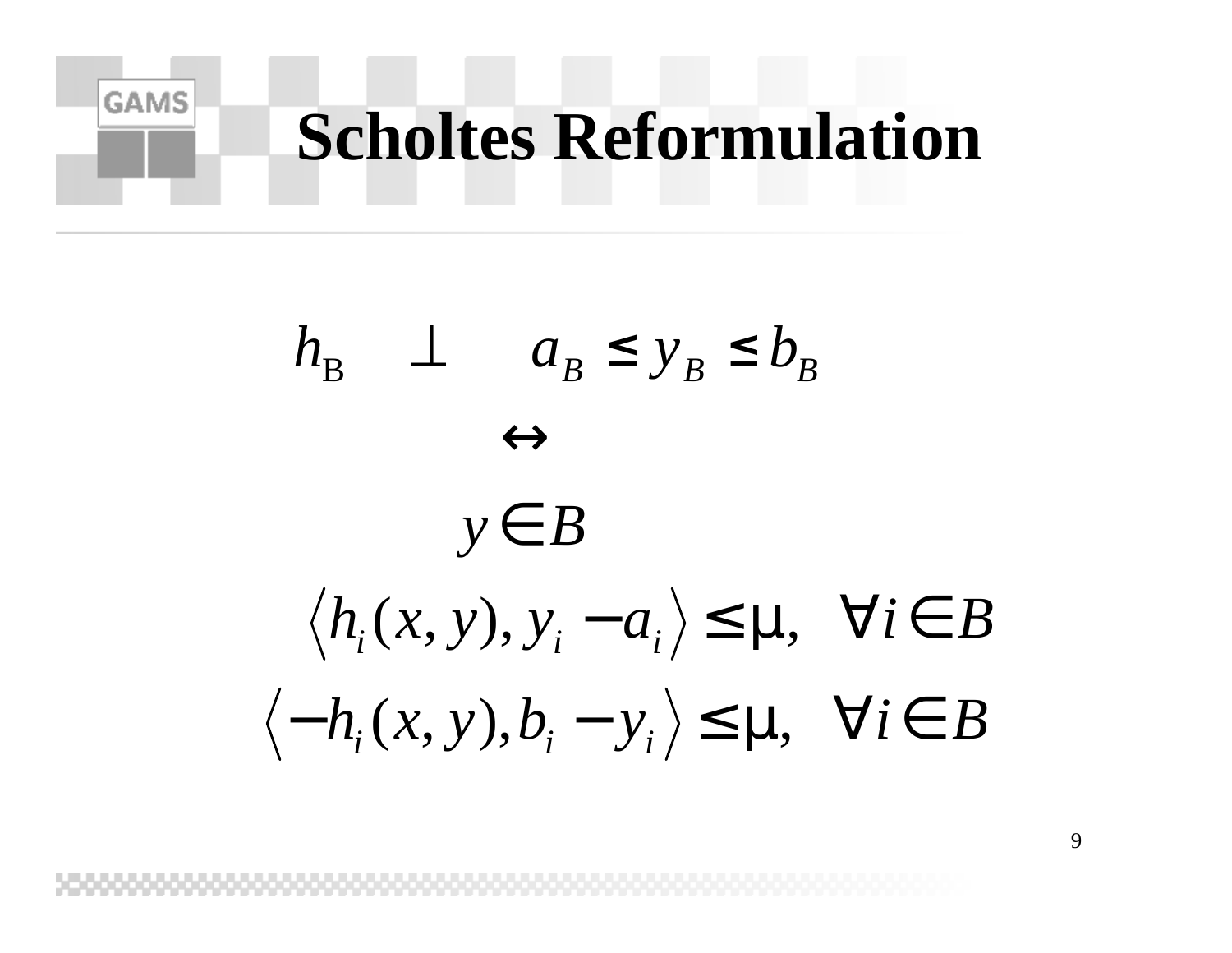## **Scholtes Reformulation**

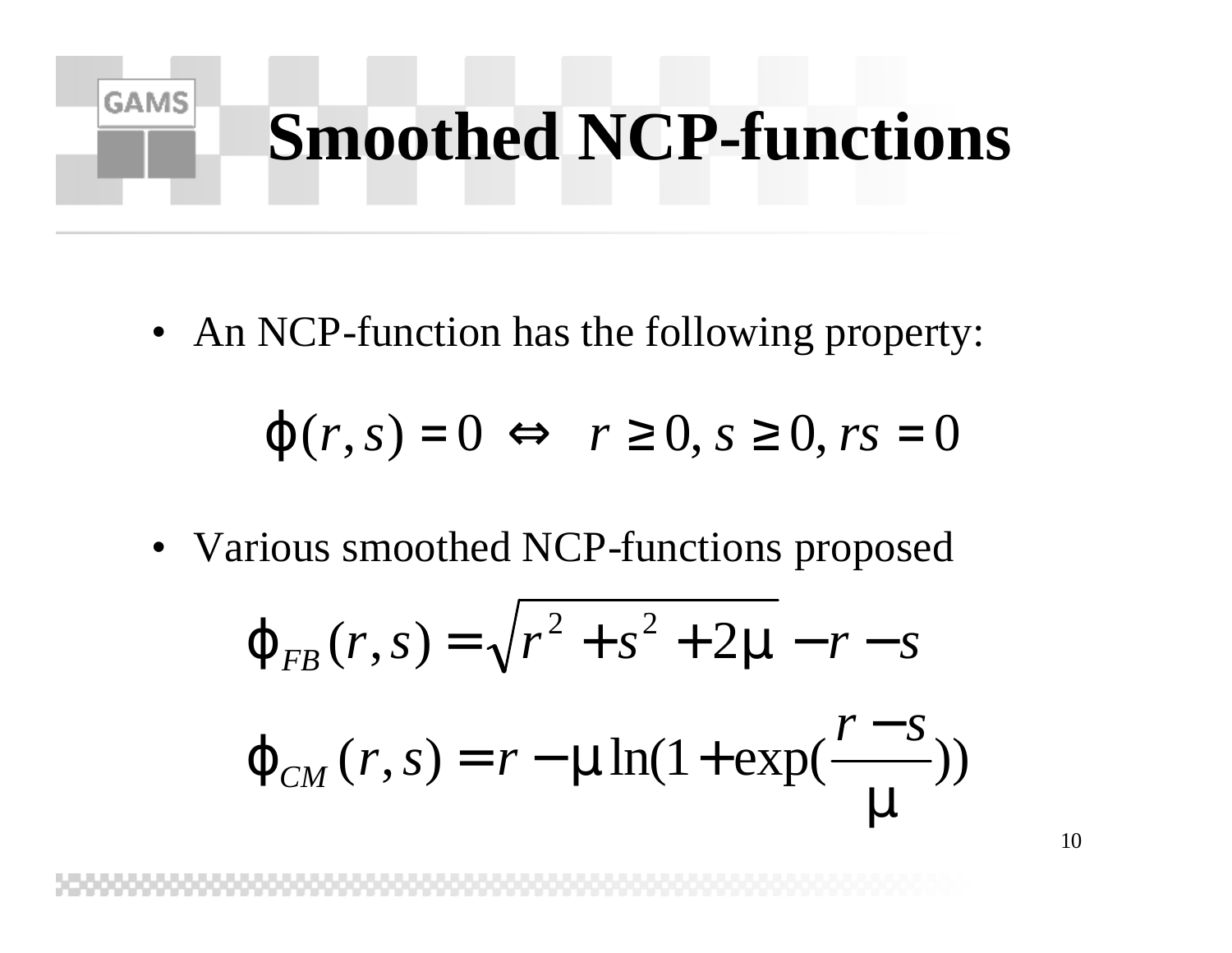# **Smoothed NCP-functions**

• An NCP-function has the following property:

**GAMS** 

$$
j(r,s) = 0 \Leftrightarrow r \ge 0, s \ge 0, rs = 0
$$

• Various smoothed NCP-functions proposed

$$
\mathbf{j}_{FB}(r,s) = \sqrt{r^2 + s^2 + 2m - r - s}
$$

$$
\mathbf{j}_{CM}(r,s) = r - m \ln(1 + \exp(\frac{r - s}{m}))
$$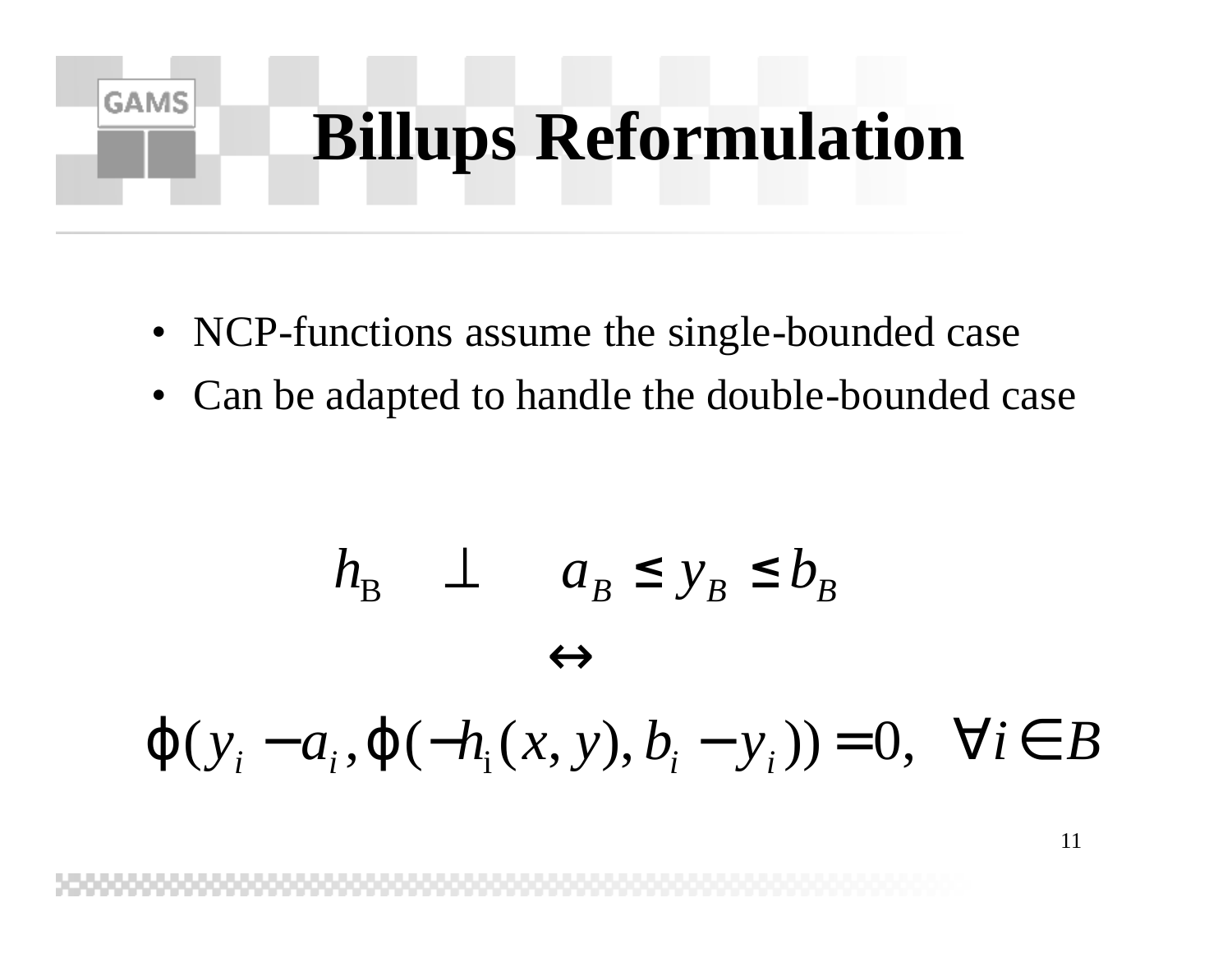# **Billups Reformulation**

• NCP-functions assume the single-bounded case

**GAMS** 

• Can be adapted to handle the double-bounded case

$$
h_{\mathcal{B}} \perp a_{\mathcal{B}} \le y_{\mathcal{B}} \le b_{\mathcal{B}}
$$
  

$$
\leftrightarrow
$$
  

$$
\mathbf{j} (y_{i} - a_{i}, \mathbf{j}(-h_{i}(x, y), b_{i} - y_{i})) = 0, \quad \forall i \in B
$$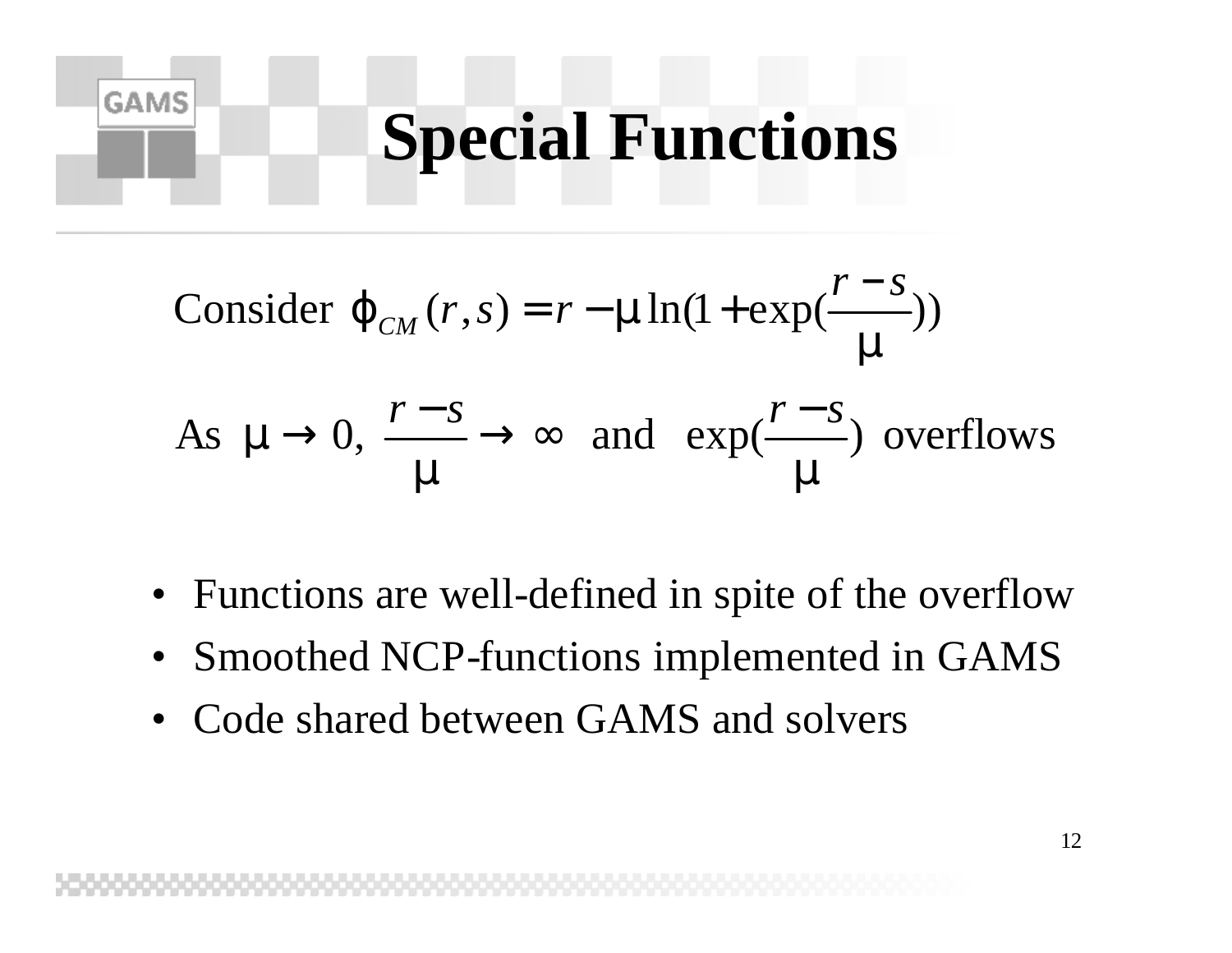### **Special Functions**

Consider 
$$
\mathbf{j}_{CM}(r,s) = r - \mathbf{m} \ln(1 + \exp(\frac{r - s}{m}))
$$

**GAMS** 

As  $\mathbf{m} \rightarrow 0$ ,  $\frac{1-\rho}{\rho} \rightarrow \infty$  and  $\exp(\frac{1-\rho}{\rho})$  overflows *m m m m*  $r - s \rightarrow 0$ ,  $\frac{r - s}{s} \rightarrow \infty$  and  $\exp(\frac{r - s}{s})$ 

- Functions are well-defined in spite of the overflow
- Smoothed NCP-functions implemented in GAMS
- Code shared between GAMS and solvers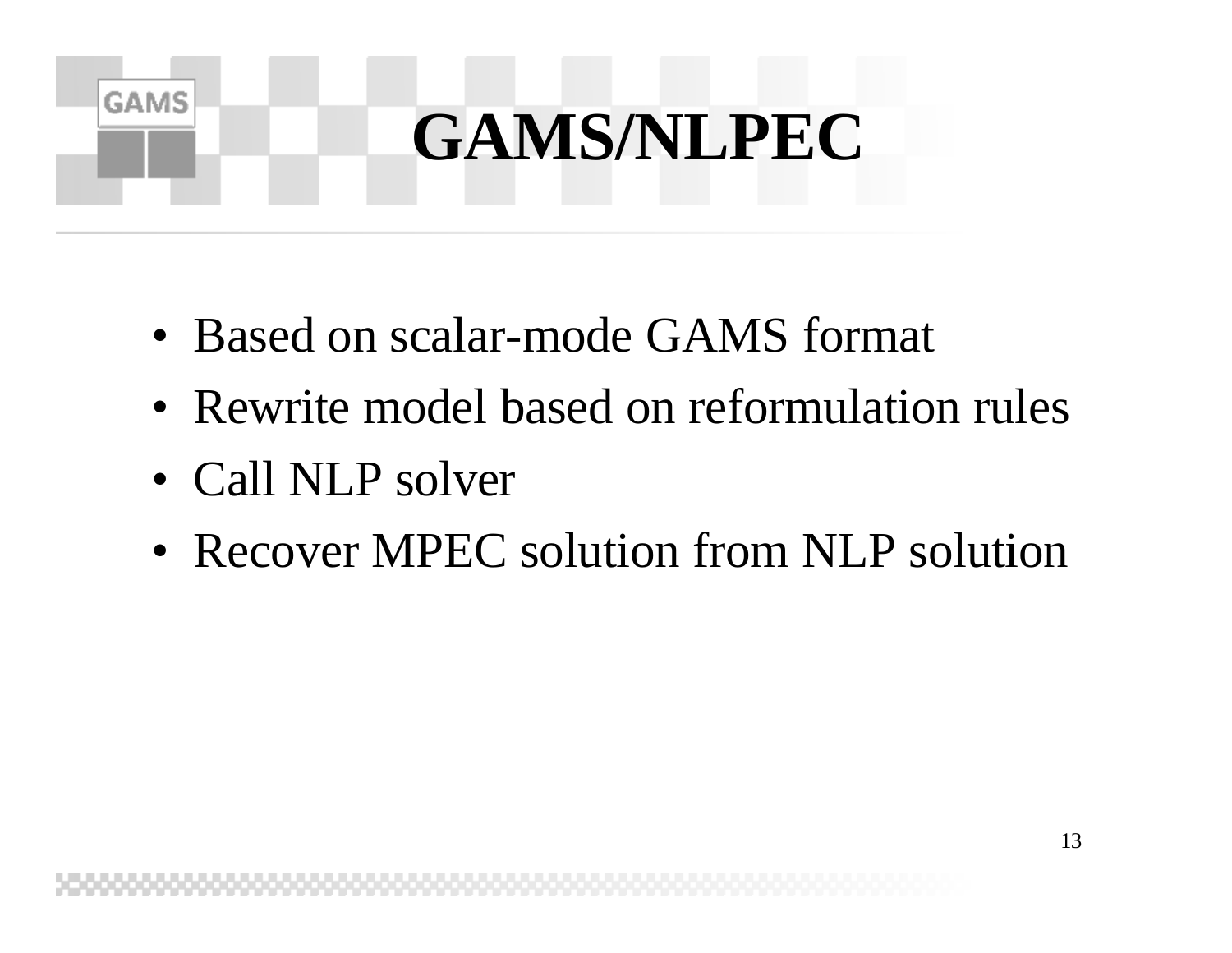# **GAMS/NLPEC**

- Based on scalar-mode GAMS format
- Rewrite model based on reformulation rules
- Call NLP solver

**GAMS** 

• Recover MPEC solution from NLP solution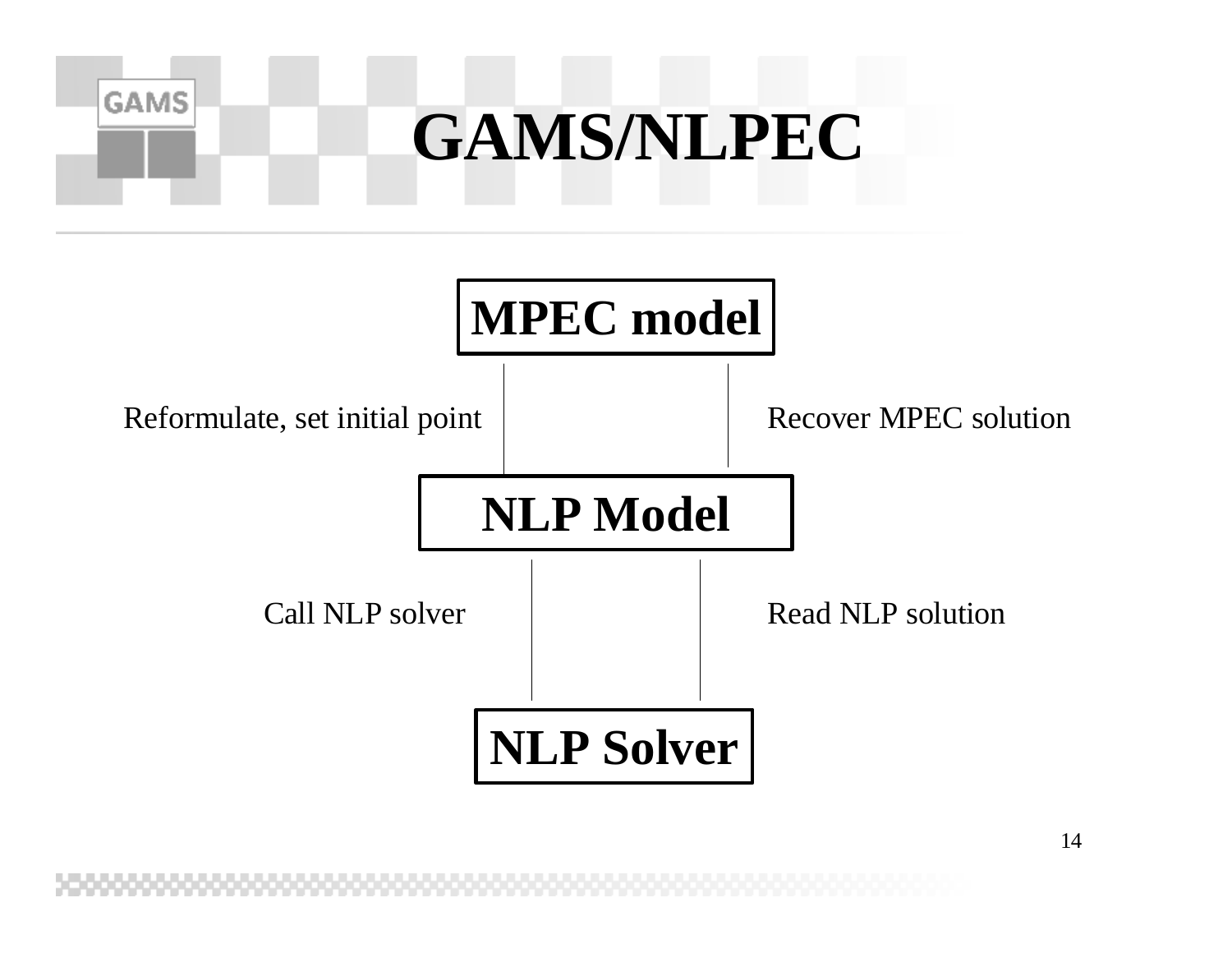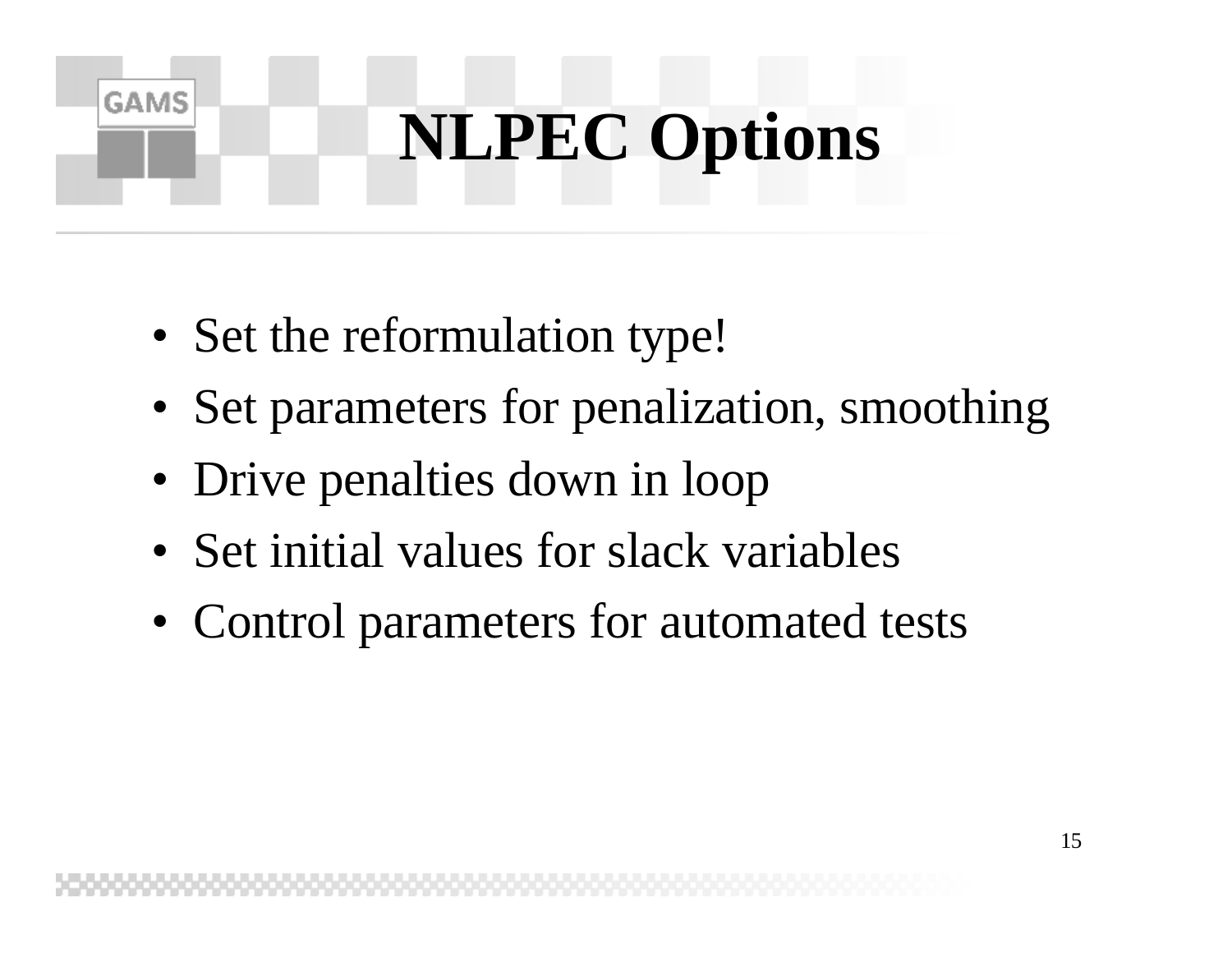# **NLPEC Options**

• Set the reformulation type!

- Set parameters for penalization, smoothing
- Drive penalties down in loop
- Set initial values for slack variables
- Control parameters for automated tests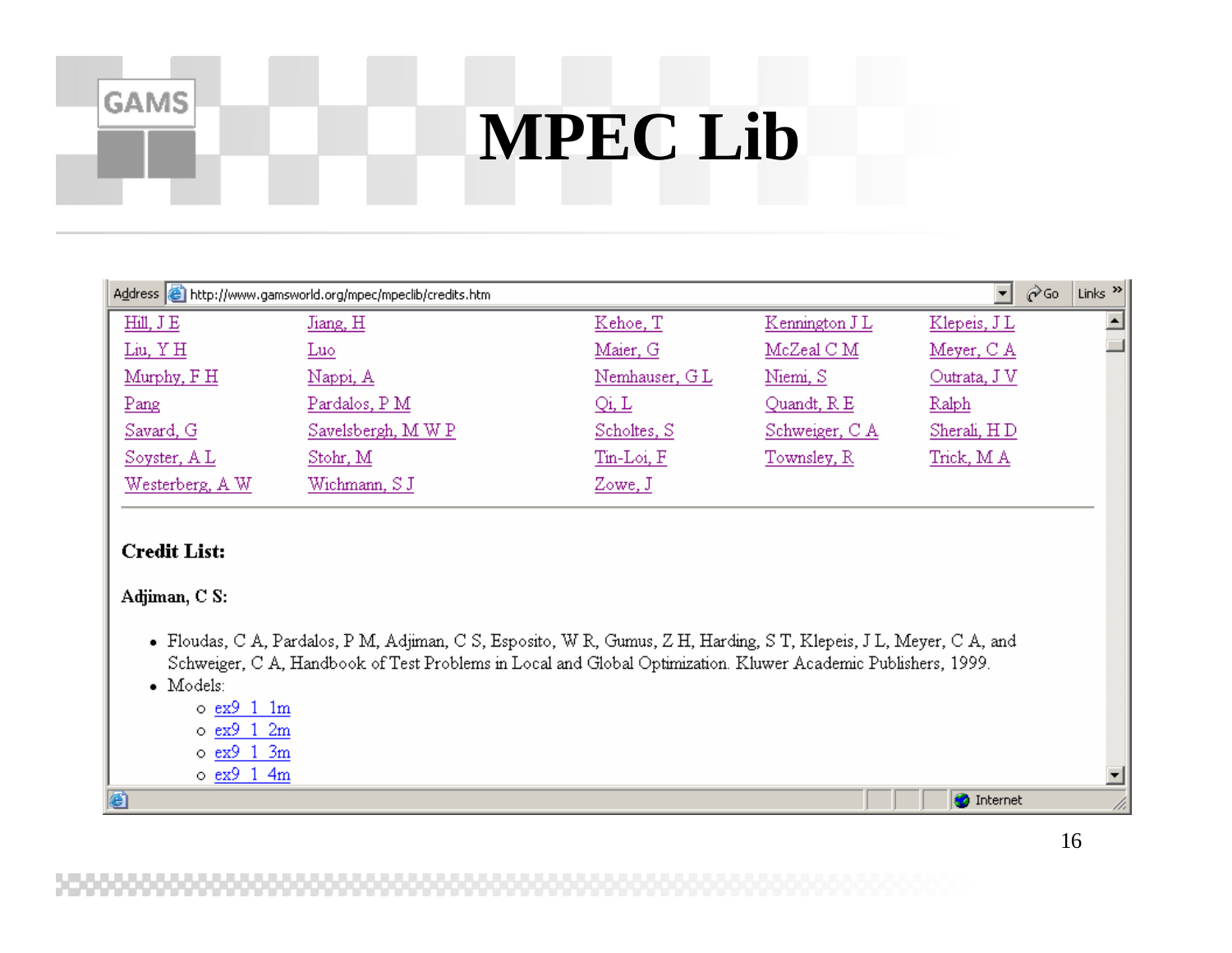### **MPEC Lib**

| Links $\left  \frac{3}{2} \right $<br>Address & http://www.gamsworld.org/mpec/mpeclib/credits.htm<br><b>⊘</b> Go<br>▾╎ |                  |               |                 |              |  |  |
|------------------------------------------------------------------------------------------------------------------------|------------------|---------------|-----------------|--------------|--|--|
| Hill, J E                                                                                                              | Jiang, H         | Kehoe, T      | Kennington J L  | Klepeis, JL  |  |  |
| Liu, YH                                                                                                                | <u>Luo</u>       | Maier, G      | $McZ$ eal $C M$ | Meyer, C A   |  |  |
| Murphy, F H                                                                                                            | Nappi, A         | Nemhauser, GL | Niemi, S        | Outrata, J V |  |  |
| Pang                                                                                                                   | Pardalos, PM     | Qi, L         | Quandt, R E     | Ralph        |  |  |
| Savard, G                                                                                                              | Savelsbergh, MWP | Schoites, S   | Schweiger, CA   | Sherali, HD  |  |  |
| Soyster, AL                                                                                                            | Stohr, M         | Tin-Loi, F    | Townsley, R     | Trick, M A   |  |  |
| Westerberg, A W                                                                                                        | Wichmann, S J    | Zowe, J       |                 |              |  |  |
|                                                                                                                        |                  |               |                 |              |  |  |
|                                                                                                                        |                  |               |                 |              |  |  |

#### **Credit List:**

**GAMS** 

#### Adjiman, C S:

- · Floudas, C A, Pardalos, P M, Adjiman, C S, Esposito, W R, Gumus, Z H, Harding, S T, Klepeis, J L, Meyer, C A, and Schweiger, C A, Handbook of Test Problems in Local and Global Optimization. Kluwer Academic Publishers, 1999.
- · Models:
	- $\circ$  ex9 1 1m
	- $\circ$  ex9 1 2m
	- $\circ$  ex9 1 3m
	- $\circ$  ex9 1 4m

ê١

**O** Internet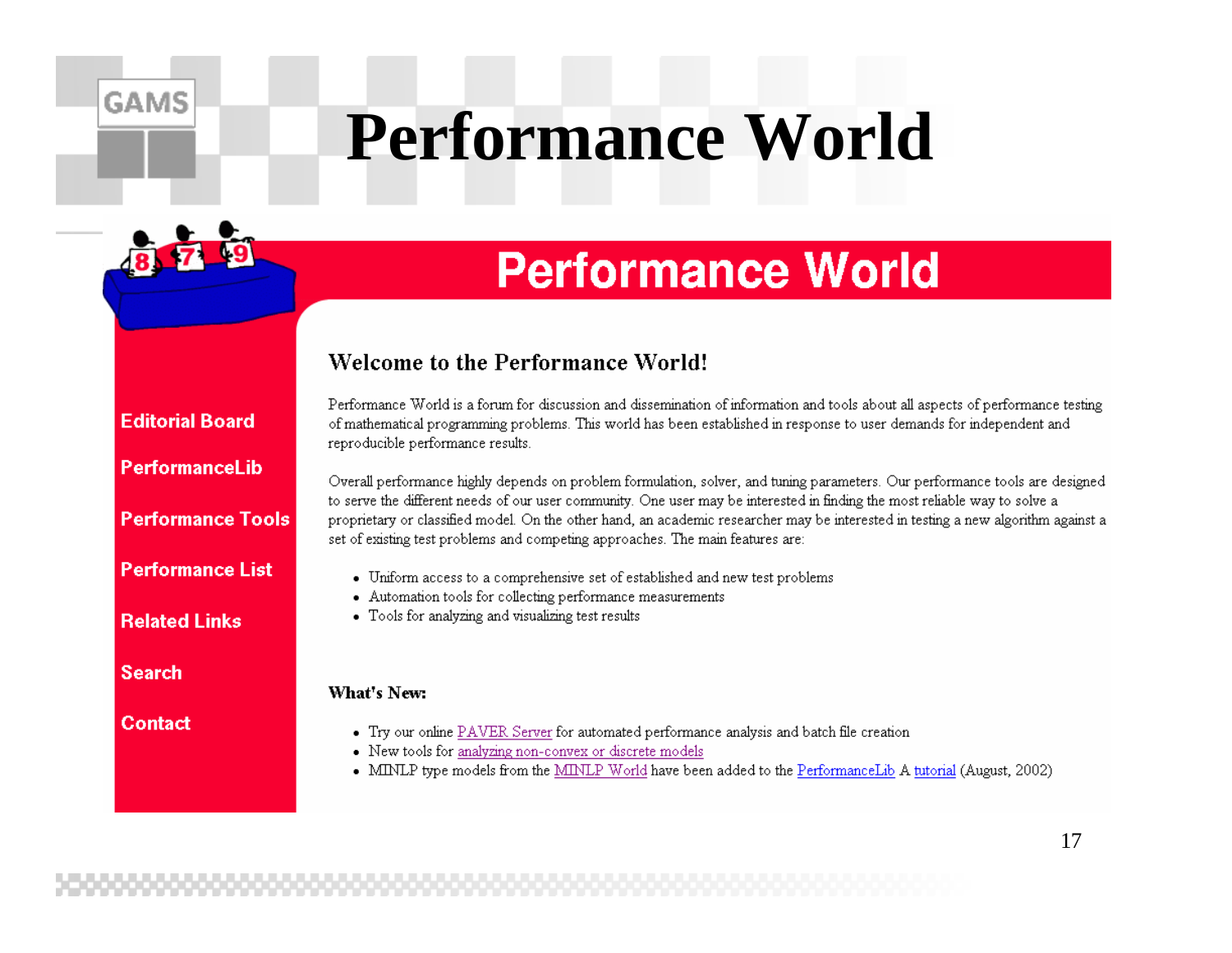## **Performance World**

### **Performance World**

#### Welcome to the Performance World!

#### **Editorial Board**

**GAMS** 

#### **Performancel ib**

#### **Performance Tools**

**Performance List** 

**Related Links** 

**Search** 

**Contact** 

Performance World is a forum for discussion and dissemination of information and tools about all aspects of performance testing of mathematical programming problems. This world has been established in response to user demands for independent and reproducible performance results.

Overall performance highly depends on problem formulation, solver, and tuning parameters. Our performance tools are designed to serve the different needs of our user community. One user may be interested in finding the most reliable way to solve a proprietary or classified model. On the other hand, an academic researcher may be interested in testing a new algorithm against a set of existing test problems and competing approaches. The main features are:

- Uniform access to a comprehensive set of established and new test problems
- Automation tools for collecting performance measurements
- Tools for analyzing and visualizing test results

#### What's New:

- Try our online PAVER Server for automated performance analysis and batch file creation
- New tools for analyzing non-convex or discrete models
- MINLP type models from the MINLP World have been added to the PerformanceLib A tutorial (August, 2002)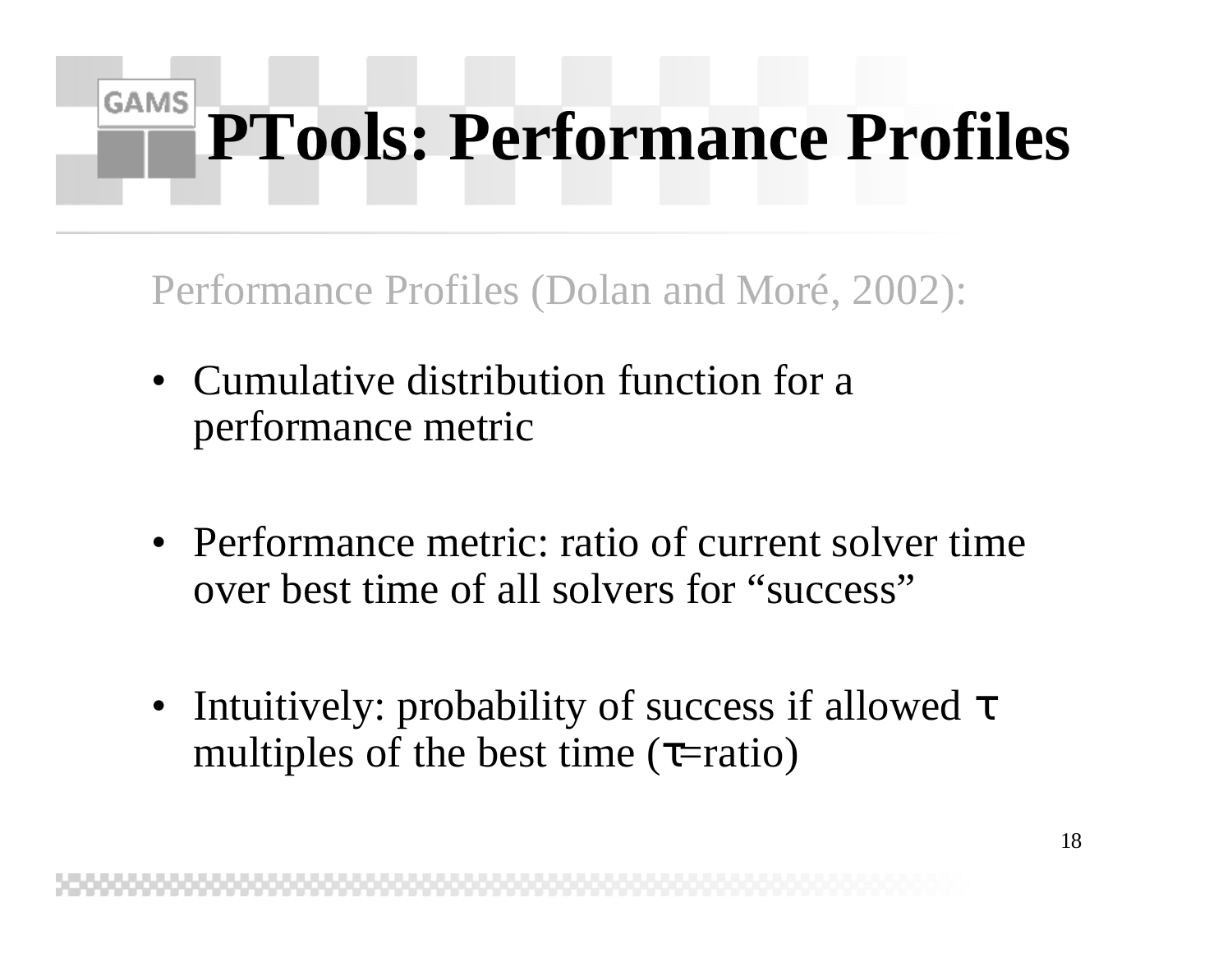### **GAMS PTools: Performance Profiles**

Performance Profiles (Dolan and Moré, 2002):

- Cumulative distribution function for a performance metric
- Performance metric: ratio of current solver time over best time of all solvers for "success"
- Intuitively: probability of success if allowed  $\tau$ multiples of the best time  $(\tau$ =ratio)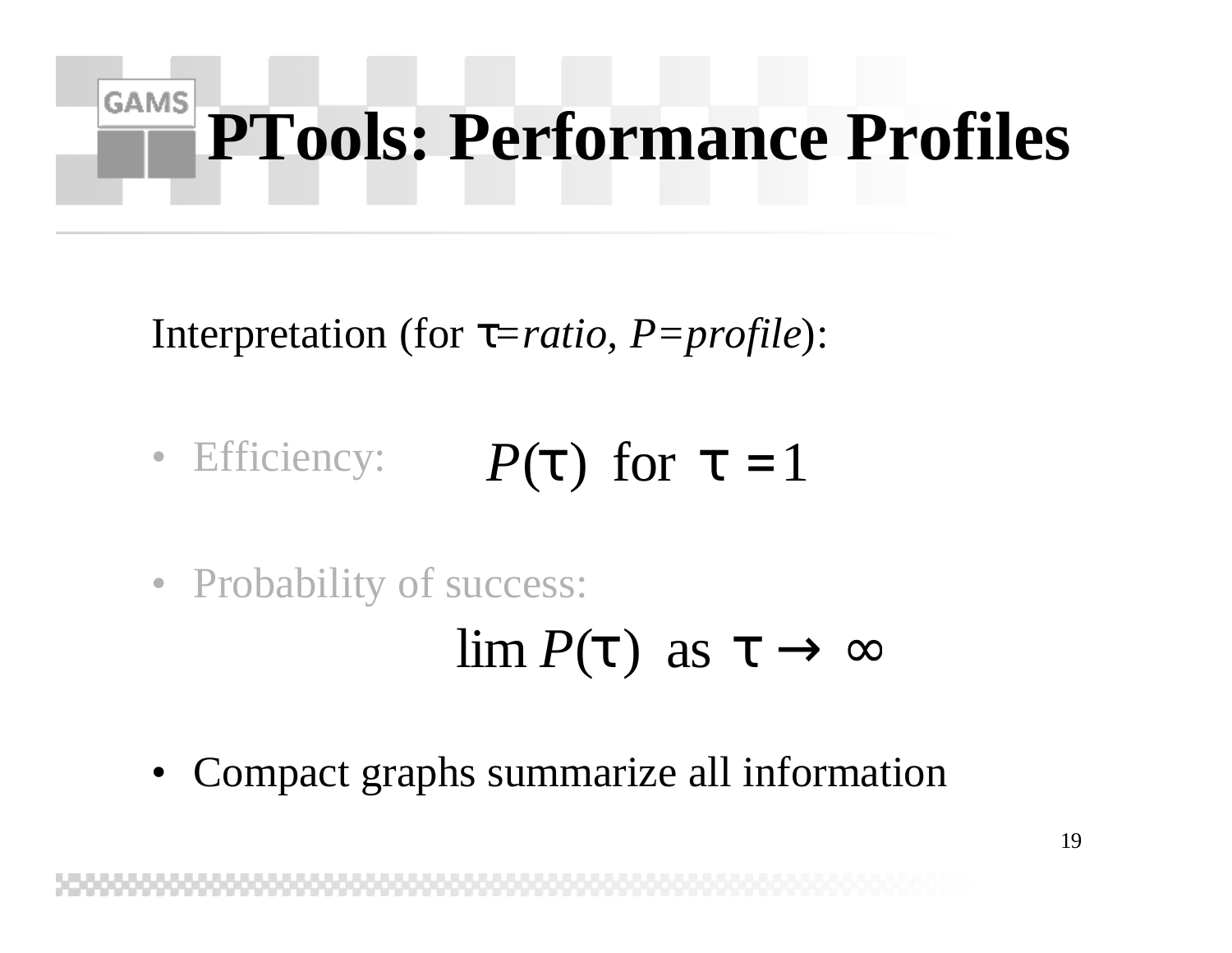### **GAMS PTools: Performance Profiles**

Interpretation (for *t=ratio, P=profile*):

- Efficiency: *P*(*t*) for  $t = 1$
- Probability of success:

 $\lim P(t)$  as  $t \to \infty$ 

• Compact graphs summarize all information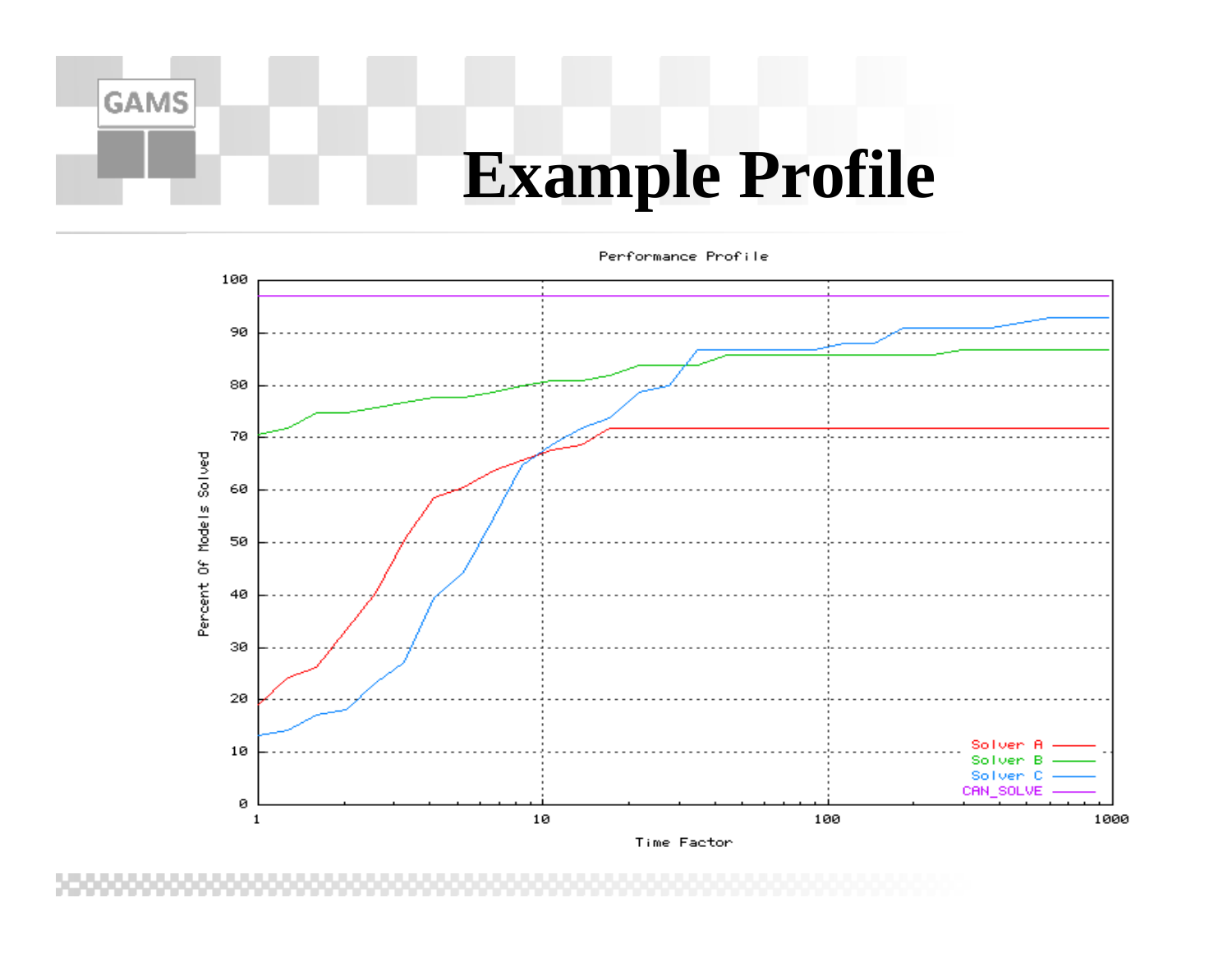### **Example Profile**

Performance Profile



Time Factor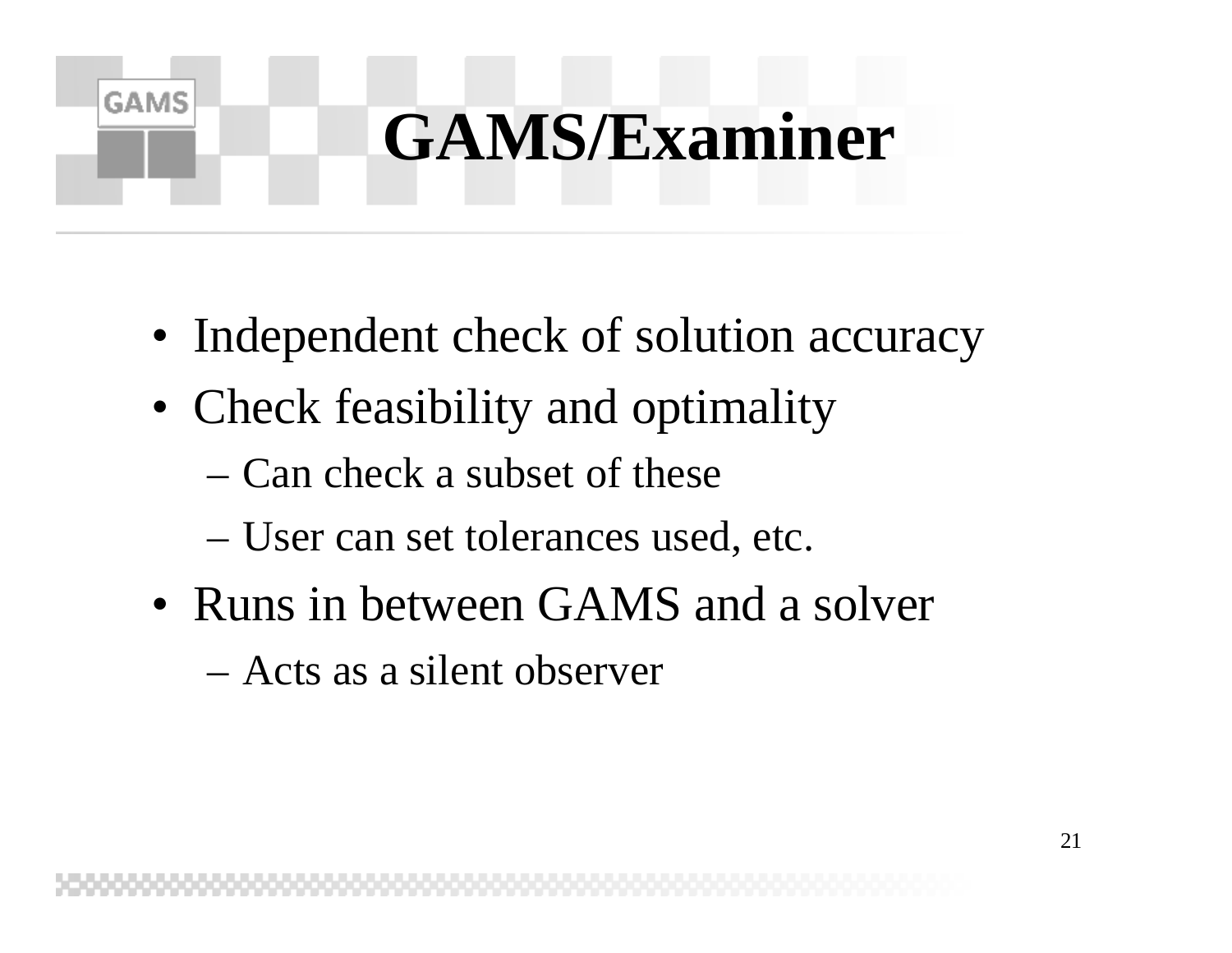## **GAMS/Examiner**

- Independent check of solution accuracy
- Check feasibility and optimality
	- Can check a subset of these

- User can set tolerances used, etc.
- Runs in between GAMS and a solver
	- Acts as a silent observer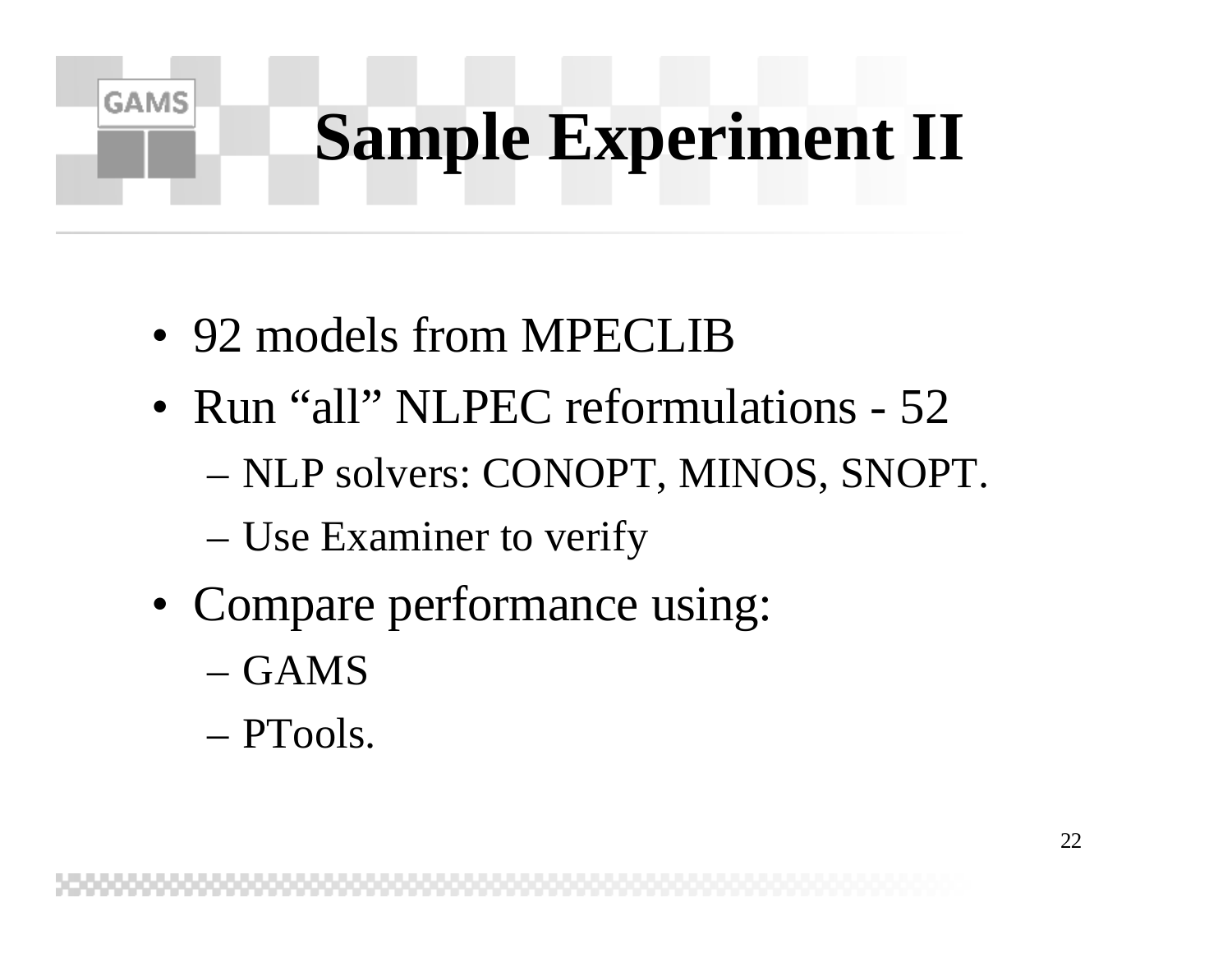# **Sample Experiment II**

- 92 models from MPECLIB
- Run "all" NLPEC reformulations 52 – NLP solvers: CONOPT, MINOS, SNOPT.
	- Use Examiner to verify
- Compare performance using:
	- GAMS

**GAMS** 

– PTools.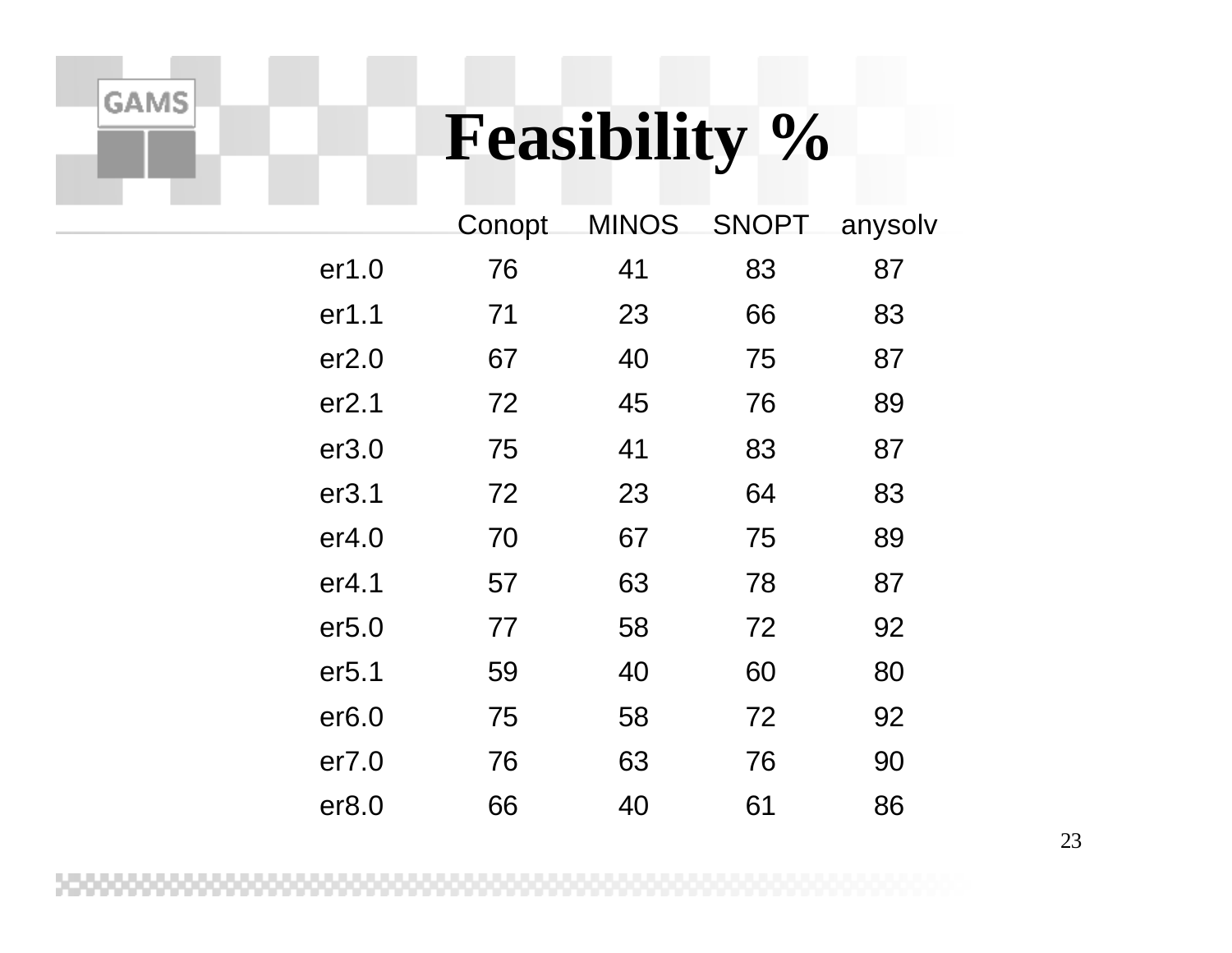### **Feasibility %**

|                   | Conopt | <b>MINOS</b> | <b>SNOPT</b> | anysolv |
|-------------------|--------|--------------|--------------|---------|
| er1.0             | 76     | 41           | 83           | 87      |
| er1.1             | 71     | 23           | 66           | 83      |
| er2.0             | 67     | 40           | 75           | 87      |
| er2.1             | 72     | 45           | 76           | 89      |
| er3.0             | 75     | 41           | 83           | 87      |
| er3.1             | 72     | 23           | 64           | 83      |
| er <sub>4.0</sub> | 70     | 67           | 75           | 89      |
| er <sub>4.1</sub> | 57     | 63           | 78           | 87      |
| er5.0             | 77     | 58           | 72           | 92      |
| er <sub>5.1</sub> | 59     | 40           | 60           | 80      |
| er6.0             | 75     | 58           | 72           | 92      |
| er7.0             | 76     | 63           | 76           | 90      |
| er8.0             | 66     | 40           | 61           | 86      |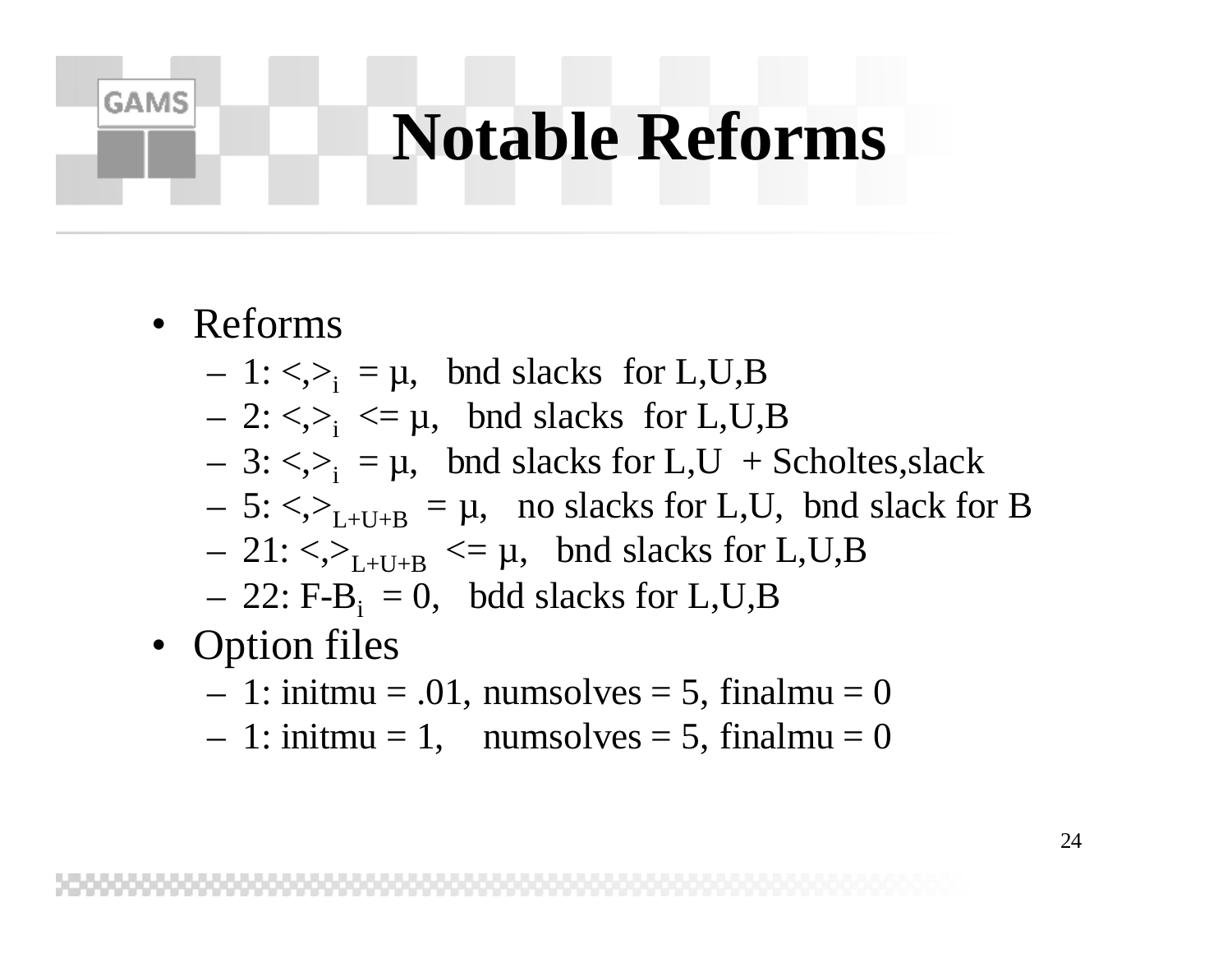### **Notable Reforms**

• Reforms

- $-1$ : <,><sub>i</sub> =  $\mu$ , bnd slacks for L,U,B
- $-2$ :  $\langle \rangle$ <sub>i</sub>  $\langle = \mu$ , bnd slacks for L,U,B
- $-3$ :  $\langle \rangle$ <sub>i</sub> =  $\mu$ , bnd slacks for L,U + Scholtes, slack
- $-5$ :  $\langle \rangle$ <sub>L+U+B</sub> =  $\mu$ , no slacks for L,U, bnd slack for B
- $-21: \langle \rangle_{L+U+B} \langle = \mu, \text{ and slacks for L, U, B}$
- $-22$ : F-B<sub>i</sub> = 0, bdd slacks for L,U,B
- Option files
	- $-1:$  initmu = .01, numsolves = 5, finalmu = 0
	- $-1:$  initmu = 1, numsolves = 5, finalmu = 0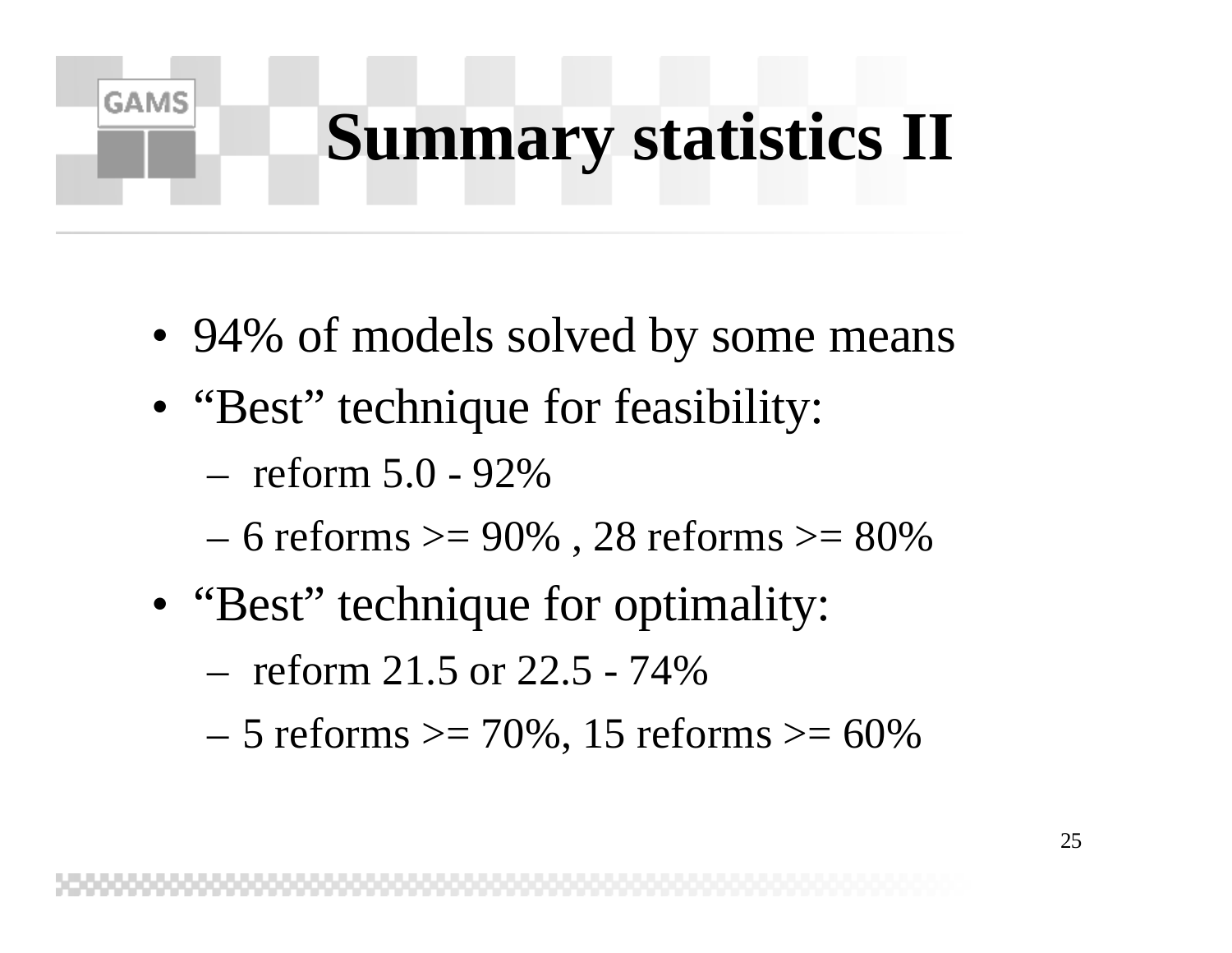# **Summary statistics II**

- 94% of models solved by some means
- "Best" technique for feasibility:

– reform 5.0 - 92%

- $-6$  reforms  $>= 90\%$ , 28 reforms  $>= 80\%$
- "Best" technique for optimality:
	- reform 21.5 or 22.5 74%
	- $-5$  reforms  $>= 70\%$ , 15 reforms  $>= 60\%$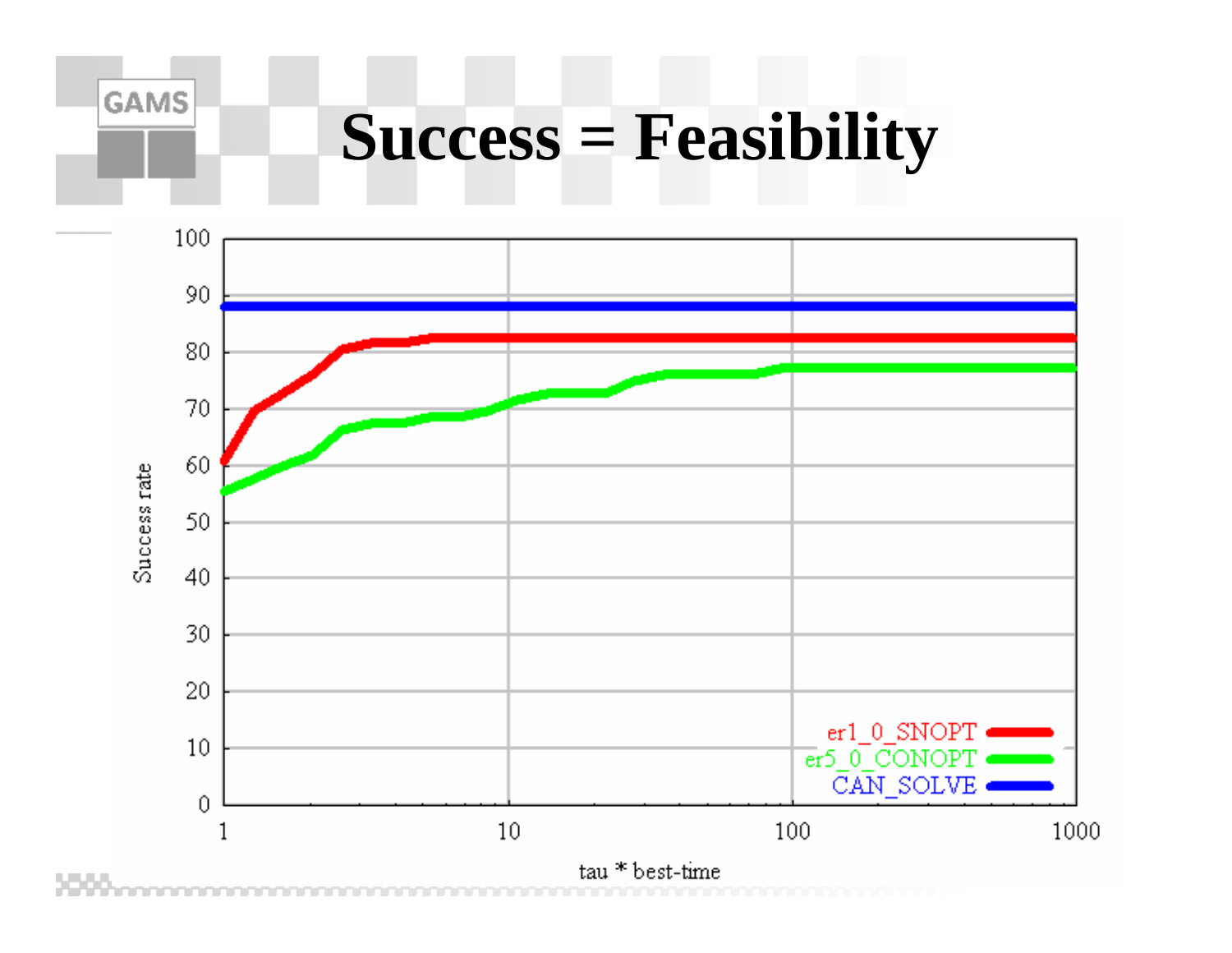### **Success = Feasibility**

**GAMS** 



tau \* best-time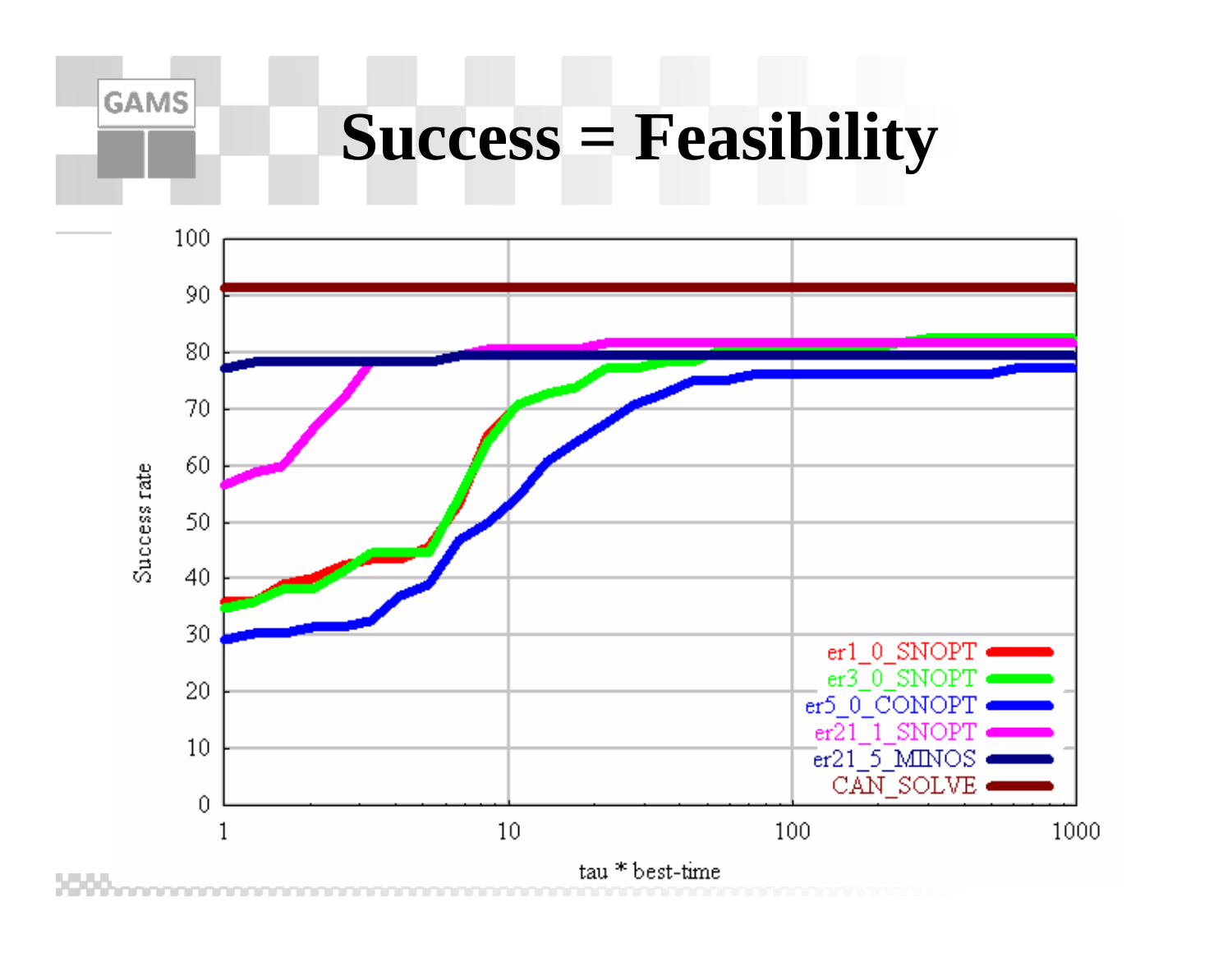### **Success = Feasibility**

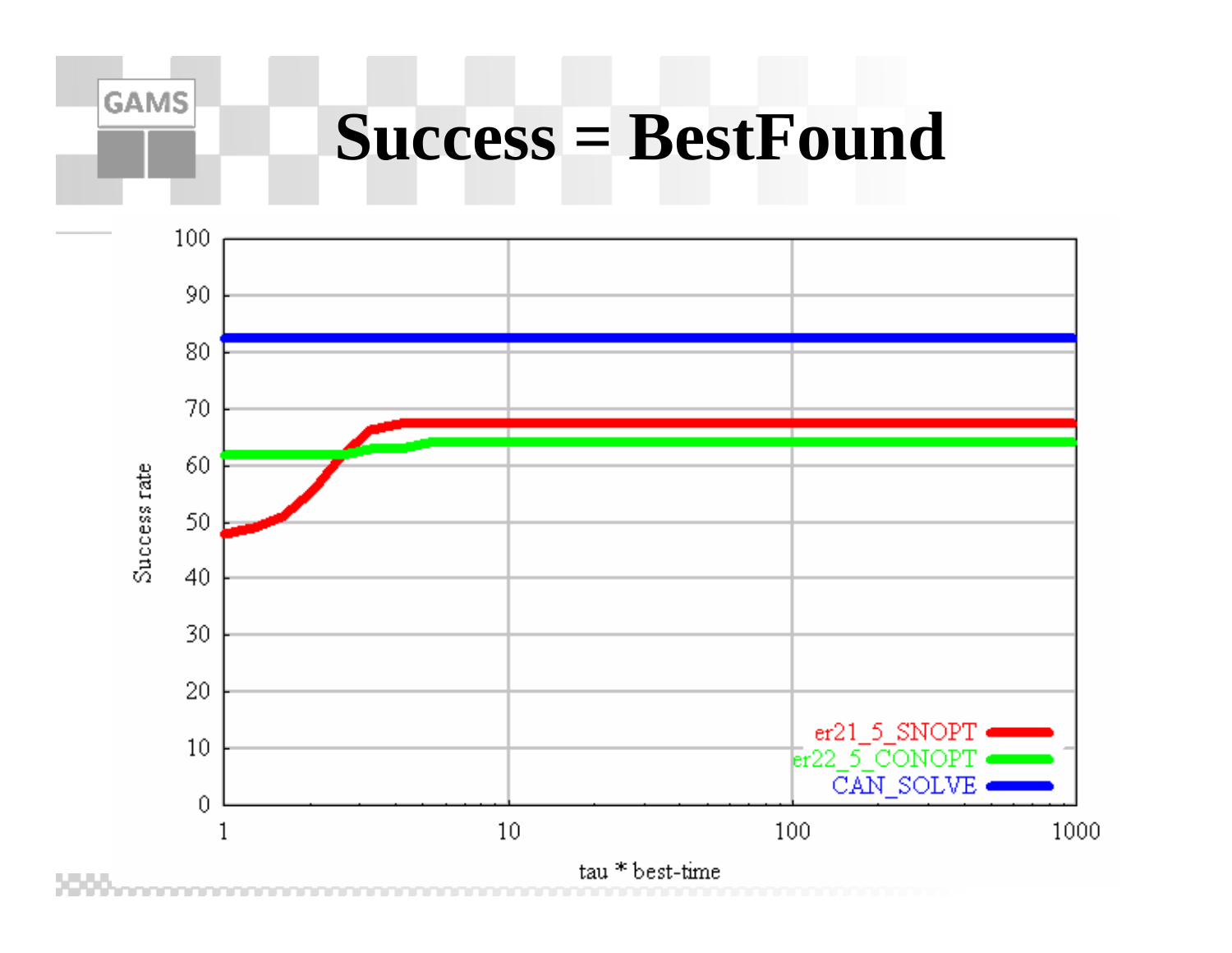#### **GAMS**

### **Success = BestFound**

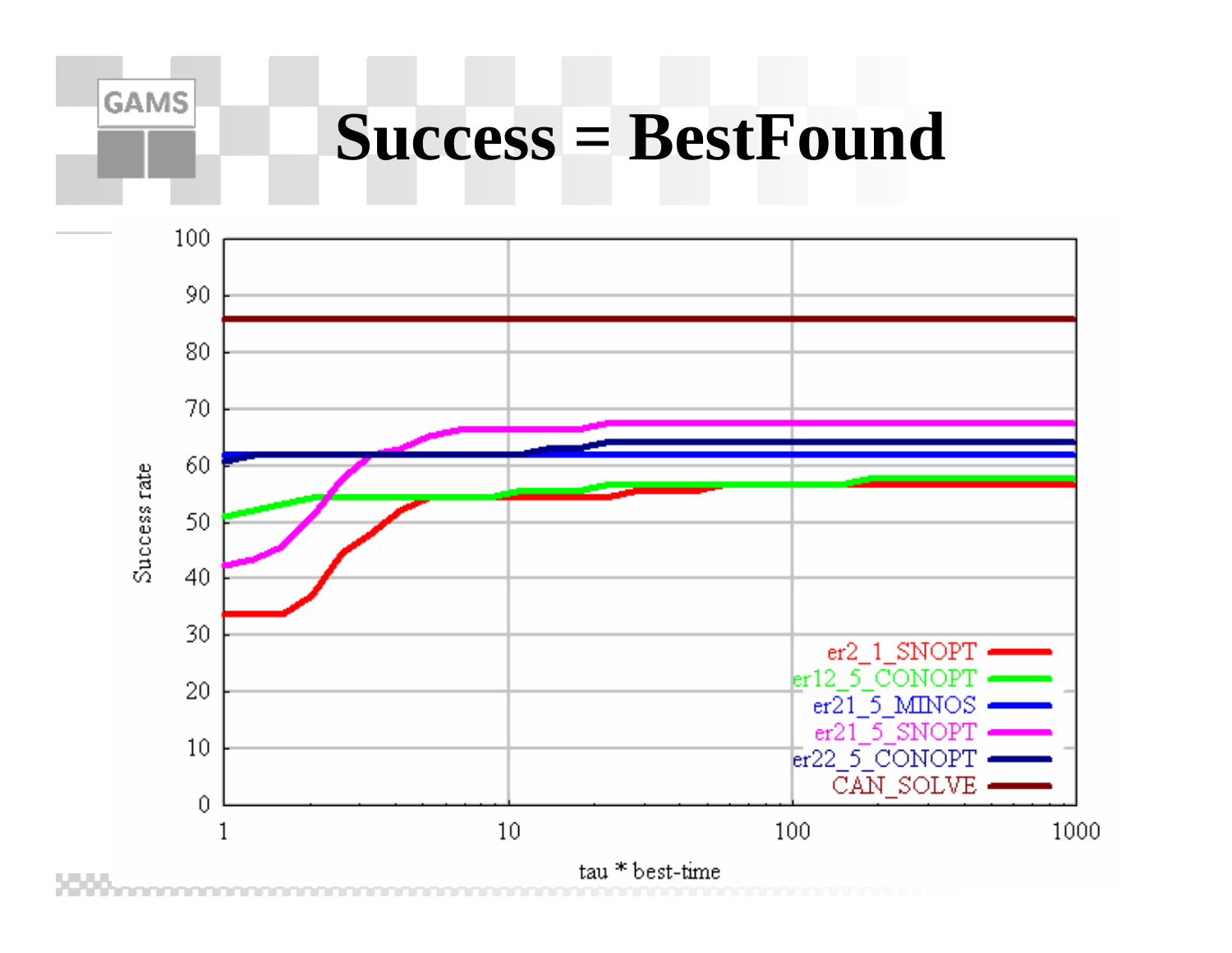#### **GAMS**

### **Success = BestFound**